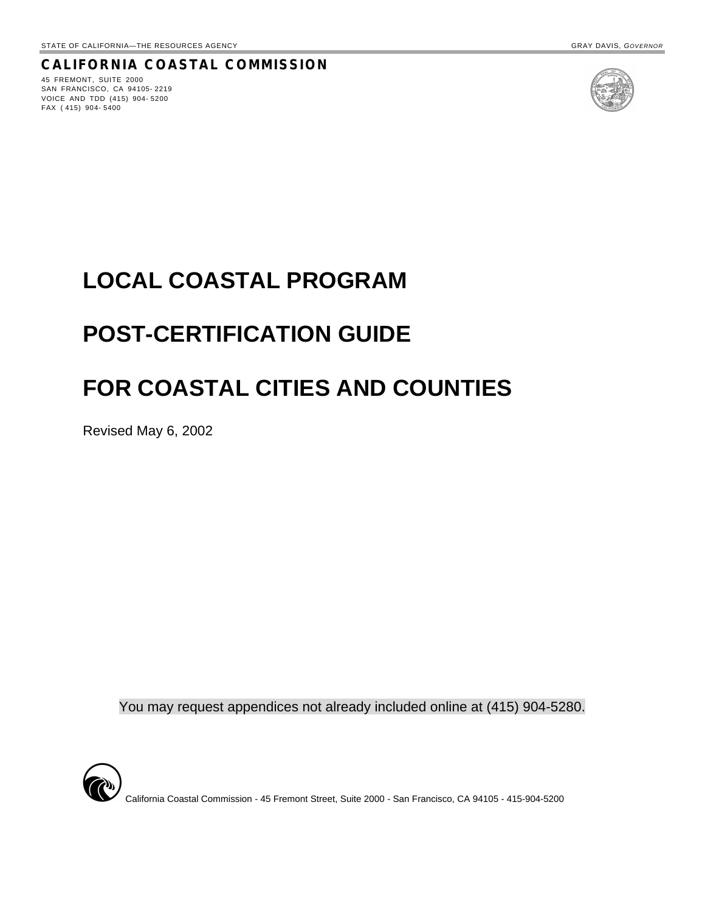#### **CALIFORNIA COASTAL COMMISSION**

45 FREMONT, SUITE 2000 SAN FRANCISCO, CA 94105- 2219 VOICE AND TDD (415) 904- 5200 FAX ( 415) 904- 5400



# **LOCAL COASTAL PROGRAM**

# **POST-CERTIFICATION GUIDE**

# **FOR COASTAL CITIES AND COUNTIES**

Revised May 6, 2002

You may request appendices not already included online at (415) 904-5280.



California Coastal Commission - 45 Fremont Street, Suite 2000 - San Francisco, CA 94105 - 415-904-5200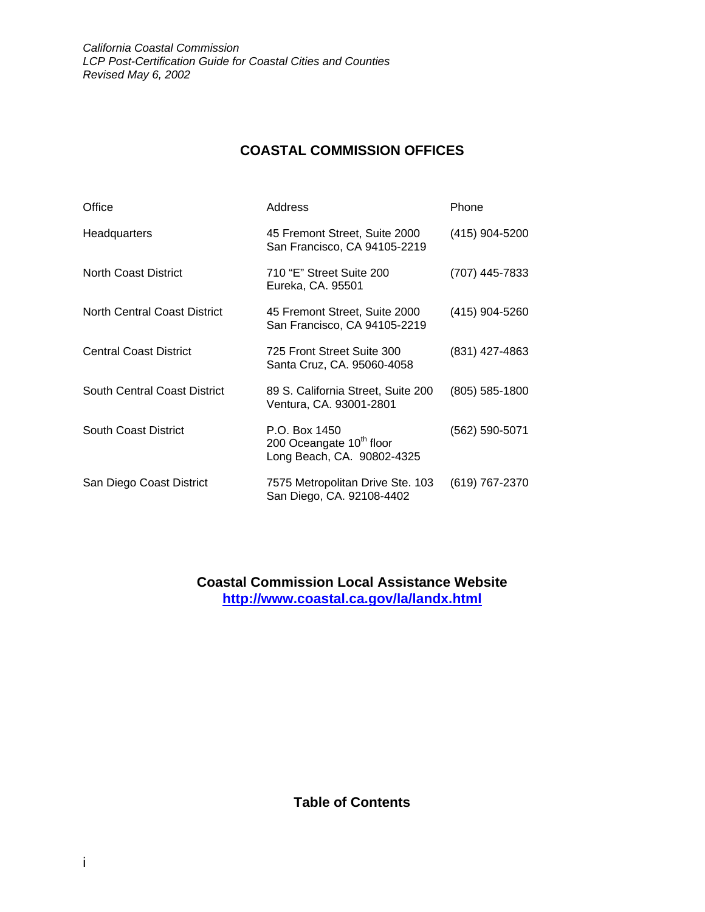## **COASTAL COMMISSION OFFICES**

| Office                              | Address                                                                             | Phone          |
|-------------------------------------|-------------------------------------------------------------------------------------|----------------|
| Headquarters                        | 45 Fremont Street, Suite 2000<br>San Francisco, CA 94105-2219                       | (415) 904-5200 |
| <b>North Coast District</b>         | 710 "E" Street Suite 200<br>Eureka, CA. 95501                                       | (707) 445-7833 |
| <b>North Central Coast District</b> | 45 Fremont Street, Suite 2000<br>San Francisco, CA 94105-2219                       | (415) 904-5260 |
| <b>Central Coast District</b>       | 725 Front Street Suite 300<br>Santa Cruz, CA. 95060-4058                            | (831) 427-4863 |
| South Central Coast District        | 89 S. California Street, Suite 200<br>Ventura, CA. 93001-2801                       | (805) 585-1800 |
| <b>South Coast District</b>         | P.O. Box 1450<br>200 Oceangate 10 <sup>th</sup> floor<br>Long Beach, CA. 90802-4325 | (562) 590-5071 |
| San Diego Coast District            | 7575 Metropolitan Drive Ste. 103<br>San Diego, CA. 92108-4402                       | (619) 767-2370 |

**Coastal Commission Local Assistance Website <http://www.coastal.ca.gov/la/landx.html>**

**Table of Contents**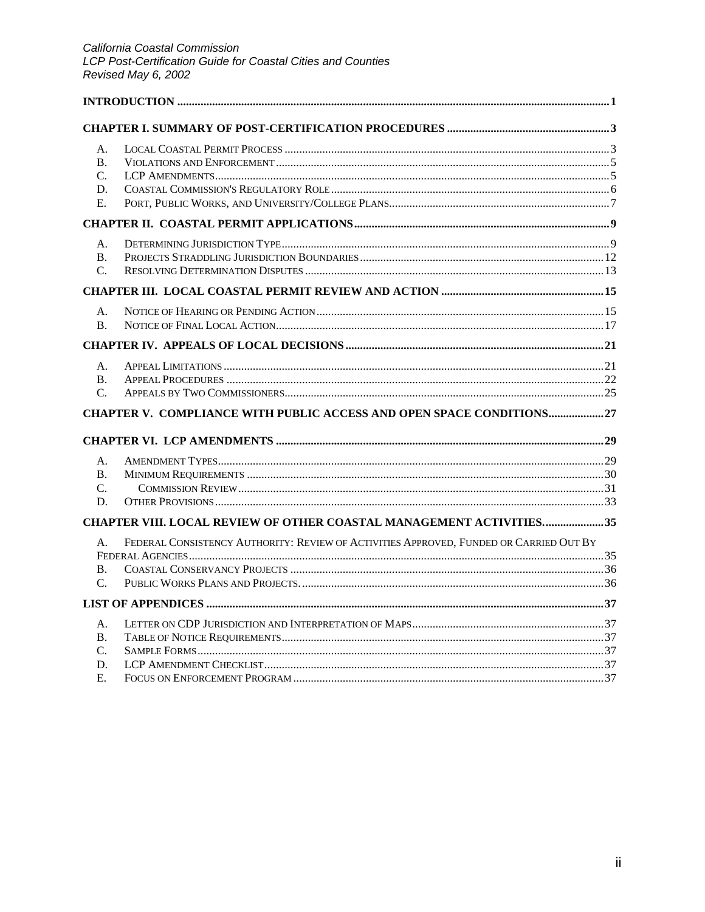| A.              |                                                                                        |  |
|-----------------|----------------------------------------------------------------------------------------|--|
| <b>B.</b>       |                                                                                        |  |
| C.              |                                                                                        |  |
| D.              |                                                                                        |  |
| Ε.              |                                                                                        |  |
|                 |                                                                                        |  |
| A.              |                                                                                        |  |
| <b>B.</b>       |                                                                                        |  |
| $\mathcal{C}$ . |                                                                                        |  |
|                 |                                                                                        |  |
| A.              |                                                                                        |  |
| <b>B.</b>       |                                                                                        |  |
|                 |                                                                                        |  |
| A.              |                                                                                        |  |
| <b>B.</b>       |                                                                                        |  |
| $\mathbf{C}$ .  |                                                                                        |  |
|                 | CHAPTER V. COMPLIANCE WITH PUBLIC ACCESS AND OPEN SPACE CONDITIONS 27                  |  |
|                 |                                                                                        |  |
| A.              |                                                                                        |  |
| <b>B.</b>       |                                                                                        |  |
| $C_{\cdot}$     |                                                                                        |  |
| D.              |                                                                                        |  |
|                 | CHAPTER VIII. LOCAL REVIEW OF OTHER COASTAL MANAGEMENT ACTIVITIES35                    |  |
| A.              | FEDERAL CONSISTENCY AUTHORITY: REVIEW OF ACTIVITIES APPROVED, FUNDED OR CARRIED OUT BY |  |
|                 |                                                                                        |  |
| <b>B.</b>       |                                                                                        |  |
| $C_{\cdot}$     |                                                                                        |  |
|                 |                                                                                        |  |
| А.              |                                                                                        |  |
| В.              |                                                                                        |  |
| $\mathcal{C}$ . |                                                                                        |  |
| D.              |                                                                                        |  |
| E.              |                                                                                        |  |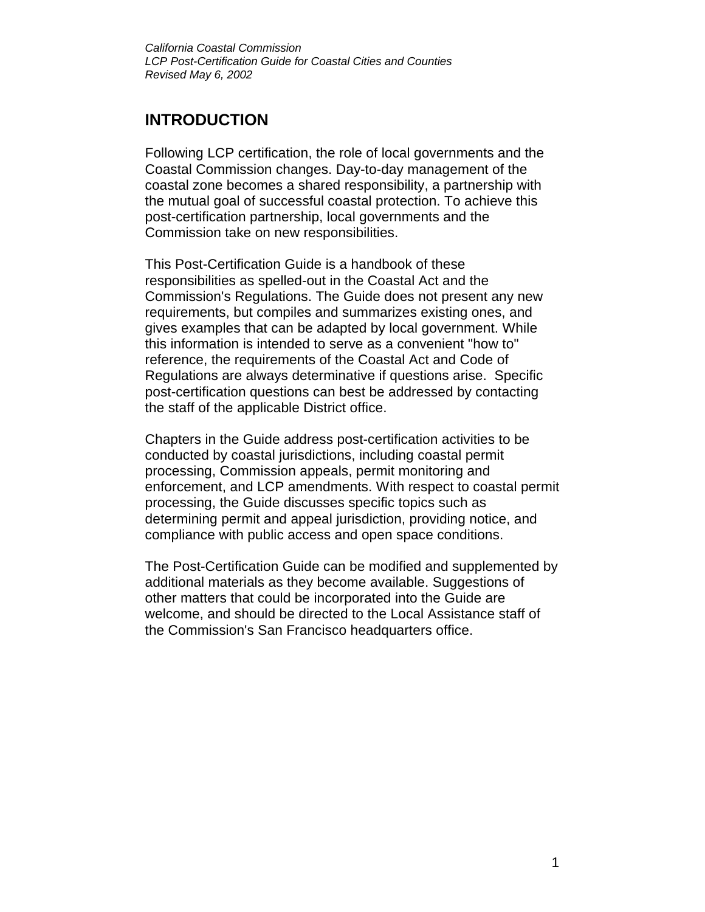## **INTRODUCTION**

Following LCP certification, the role of local governments and the Coastal Commission changes. Day-to-day management of the coastal zone becomes a shared responsibility, a partnership with the mutual goal of successful coastal protection. To achieve this post-certification partnership, local governments and the Commission take on new responsibilities.

This Post-Certification Guide is a handbook of these responsibilities as spelled-out in the Coastal Act and the Commission's Regulations. The Guide does not present any new requirements, but compiles and summarizes existing ones, and gives examples that can be adapted by local government. While this information is intended to serve as a convenient "how to" reference, the requirements of the Coastal Act and Code of Regulations are always determinative if questions arise. Specific post-certification questions can best be addressed by contacting the staff of the applicable District office.

Chapters in the Guide address post-certification activities to be conducted by coastal jurisdictions, including coastal permit processing, Commission appeals, permit monitoring and enforcement, and LCP amendments. With respect to coastal permit processing, the Guide discusses specific topics such as determining permit and appeal jurisdiction, providing notice, and compliance with public access and open space conditions.

The Post-Certification Guide can be modified and supplemented by additional materials as they become available. Suggestions of other matters that could be incorporated into the Guide are welcome, and should be directed to the Local Assistance staff of the Commission's San Francisco headquarters office.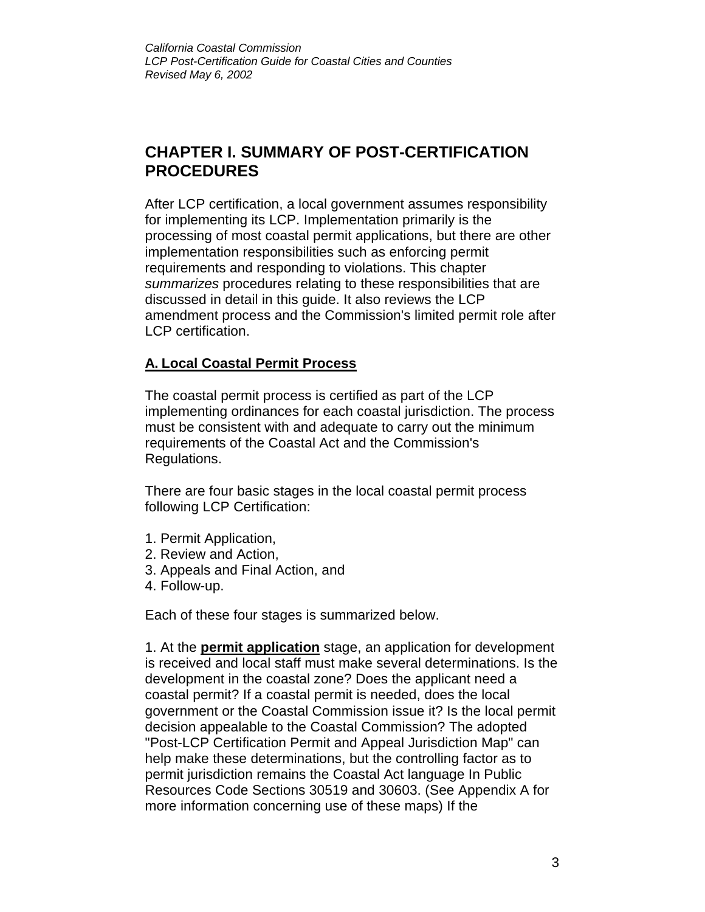## **CHAPTER I. SUMMARY OF POST-CERTIFICATION PROCEDURES**

After LCP certification, a local government assumes responsibility for implementing its LCP. Implementation primarily is the processing of most coastal permit applications, but there are other implementation responsibilities such as enforcing permit requirements and responding to violations. This chapter *summarizes* procedures relating to these responsibilities that are discussed in detail in this guide. It also reviews the LCP amendment process and the Commission's limited permit role after LCP certification.

## **A. Local Coastal Permit Process**

The coastal permit process is certified as part of the LCP implementing ordinances for each coastal jurisdiction. The process must be consistent with and adequate to carry out the minimum requirements of the Coastal Act and the Commission's Regulations.

There are four basic stages in the local coastal permit process following LCP Certification:

- 1. Permit Application,
- 2. Review and Action,
- 3. Appeals and Final Action, and
- 4. Follow-up.

Each of these four stages is summarized below.

1. At the **permit application** stage, an application for development is received and local staff must make several determinations. Is the development in the coastal zone? Does the applicant need a coastal permit? If a coastal permit is needed, does the local government or the Coastal Commission issue it? Is the local permit decision appealable to the Coastal Commission? The adopted "Post-LCP Certification Permit and Appeal Jurisdiction Map" can help make these determinations, but the controlling factor as to permit jurisdiction remains the Coastal Act language In Public Resources Code Sections 30519 and 30603. (See Appendix A for more information concerning use of these maps) If the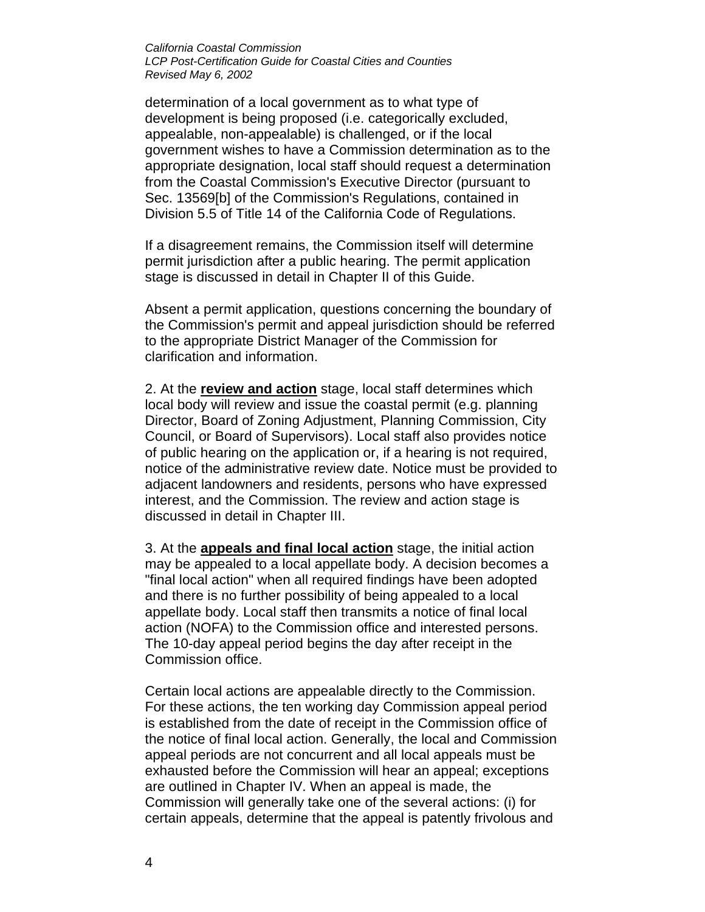determination of a local government as to what type of development is being proposed (i.e. categorically excluded, appealable, non-appealable) is challenged, or if the local government wishes to have a Commission determination as to the appropriate designation, local staff should request a determination from the Coastal Commission's Executive Director (pursuant to Sec. 13569[b] of the Commission's Regulations, contained in Division 5.5 of Title 14 of the California Code of Regulations.

If a disagreement remains, the Commission itself will determine permit jurisdiction after a public hearing. The permit application stage is discussed in detail in Chapter II of this Guide.

Absent a permit application, questions concerning the boundary of the Commission's permit and appeal jurisdiction should be referred to the appropriate District Manager of the Commission for clarification and information.

2. At the **review and action** stage, local staff determines which local body will review and issue the coastal permit (e.g. planning Director, Board of Zoning Adjustment, Planning Commission, City Council, or Board of Supervisors). Local staff also provides notice of public hearing on the application or, if a hearing is not required, notice of the administrative review date. Notice must be provided to adjacent landowners and residents, persons who have expressed interest, and the Commission. The review and action stage is discussed in detail in Chapter III.

3. At the **appeals and final local action** stage, the initial action may be appealed to a local appellate body. A decision becomes a "final local action" when all required findings have been adopted and there is no further possibility of being appealed to a local appellate body. Local staff then transmits a notice of final local action (NOFA) to the Commission office and interested persons. The 10-day appeal period begins the day after receipt in the Commission office.

Certain local actions are appealable directly to the Commission. For these actions, the ten working day Commission appeal period is established from the date of receipt in the Commission office of the notice of final local action. Generally, the local and Commission appeal periods are not concurrent and all local appeals must be exhausted before the Commission will hear an appeal; exceptions are outlined in Chapter IV. When an appeal is made, the Commission will generally take one of the several actions: (i) for certain appeals, determine that the appeal is patently frivolous and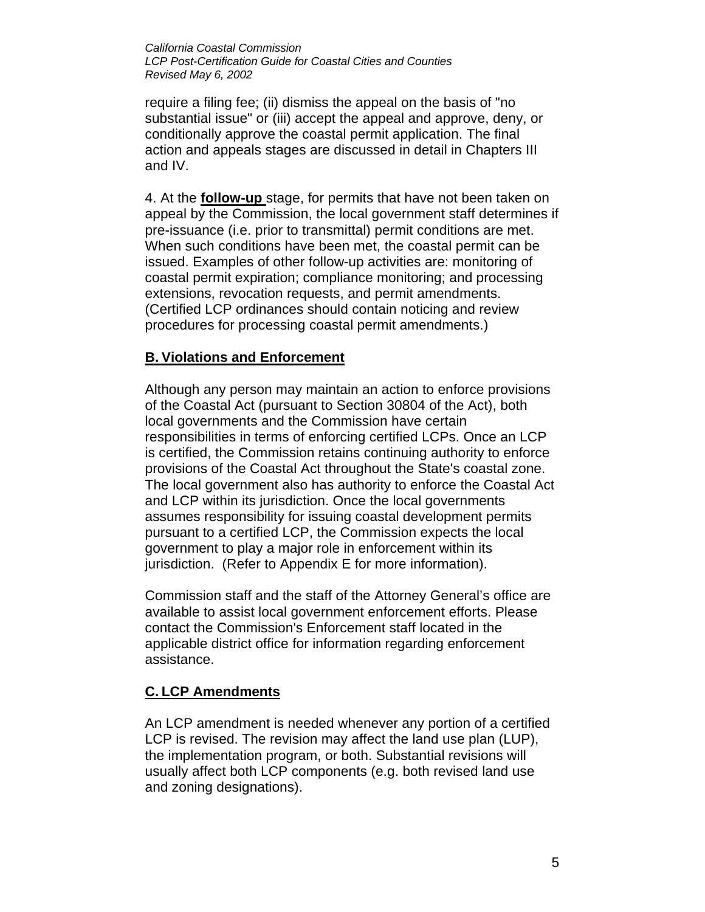require a filing fee; (ii) dismiss the appeal on the basis of "no substantial issue" or (iii) accept the appeal and approve, deny, or conditionally approve the coastal permit application. The final action and appeals stages are discussed in detail in Chapters III and IV.

4. At the **follow-up** stage, for permits that have not been taken on appeal by the Commission, the local government staff determines if pre-issuance (i.e. prior to transmittal) permit conditions are met. When such conditions have been met, the coastal permit can be issued. Examples of other follow-up activities are: monitoring of coastal permit expiration; compliance monitoring; and processing extensions, revocation requests, and permit amendments. (Certified LCP ordinances should contain noticing and review procedures for processing coastal permit amendments.)

### **B. Violations and Enforcement**

Although any person may maintain an action to enforce provisions of the Coastal Act (pursuant to Section 30804 of the Act), both local governments and the Commission have certain responsibilities in terms of enforcing certified LCPs. Once an LCP is certified, the Commission retains continuing authority to enforce provisions of the Coastal Act throughout the State's coastal zone. The local government also has authority to enforce the Coastal Act and LCP within its jurisdiction. Once the local governments assumes responsibility for issuing coastal development permits pursuant to a certified LCP, the Commission expects the local government to play a major role in enforcement within its jurisdiction. (Refer to Appendix E for more information).

Commission staff and the staff of the Attorney General's office are available to assist local government enforcement efforts. Please contact the Commission's Enforcement staff located in the applicable district office for information regarding enforcement assistance.

#### **C. LCP Amendments**

An LCP amendment is needed whenever any portion of a certified LCP is revised. The revision may affect the land use plan (LUP), the implementation program, or both. Substantial revisions will usually affect both LCP components (e.g. both revised land use and zoning designations).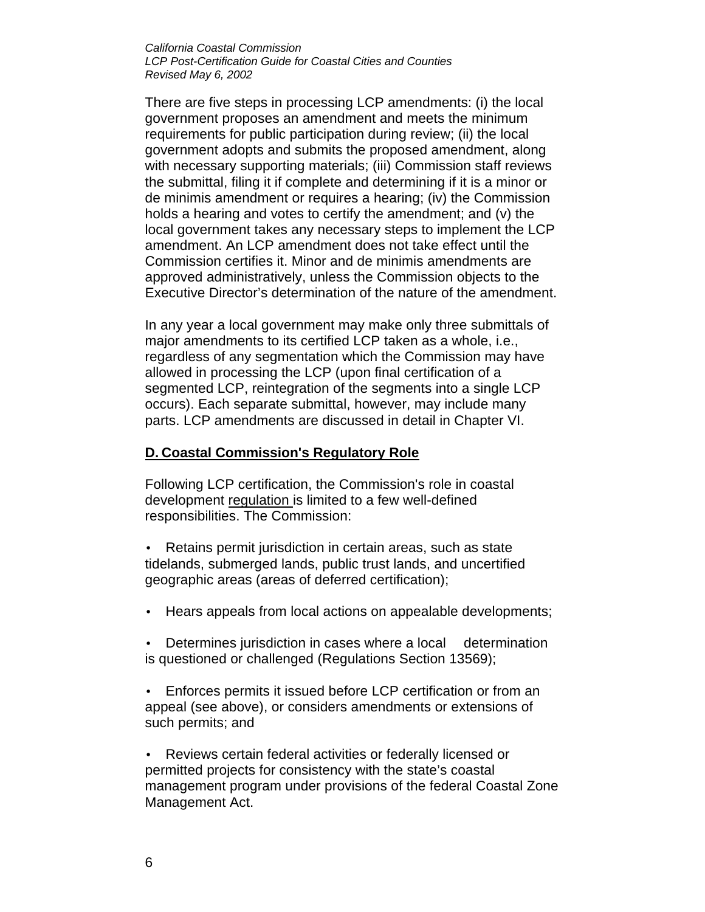There are five steps in processing LCP amendments: (i) the local government proposes an amendment and meets the minimum requirements for public participation during review; (ii) the local government adopts and submits the proposed amendment, along with necessary supporting materials; (iii) Commission staff reviews the submittal, filing it if complete and determining if it is a minor or de minimis amendment or requires a hearing; (iv) the Commission holds a hearing and votes to certify the amendment; and (v) the local government takes any necessary steps to implement the LCP amendment. An LCP amendment does not take effect until the Commission certifies it. Minor and de minimis amendments are approved administratively, unless the Commission objects to the Executive Director's determination of the nature of the amendment.

In any year a local government may make only three submittals of major amendments to its certified LCP taken as a whole, i.e., regardless of any segmentation which the Commission may have allowed in processing the LCP (upon final certification of a segmented LCP, reintegration of the segments into a single LCP occurs). Each separate submittal, however, may include many parts. LCP amendments are discussed in detail in Chapter VI.

### **D. Coastal Commission's Regulatory Role**

Following LCP certification, the Commission's role in coastal development regulation is limited to a few well-defined responsibilities. The Commission:

• Retains permit jurisdiction in certain areas, such as state tidelands, submerged lands, public trust lands, and uncertified geographic areas (areas of deferred certification);

- Hears appeals from local actions on appealable developments;
- Determines jurisdiction in cases where a local determination is questioned or challenged (Regulations Section 13569);
- Enforces permits it issued before LCP certification or from an appeal (see above), or considers amendments or extensions of such permits; and

• Reviews certain federal activities or federally licensed or permitted projects for consistency with the state's coastal management program under provisions of the federal Coastal Zone Management Act.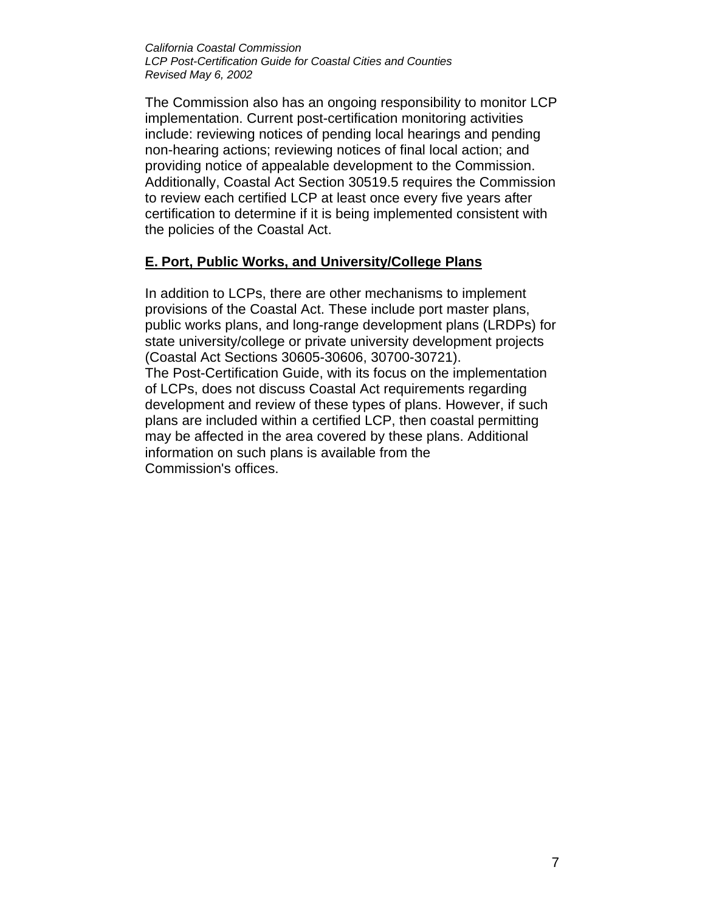The Commission also has an ongoing responsibility to monitor LCP implementation. Current post-certification monitoring activities include: reviewing notices of pending local hearings and pending non-hearing actions; reviewing notices of final local action; and providing notice of appealable development to the Commission. Additionally, Coastal Act Section 30519.5 requires the Commission to review each certified LCP at least once every five years after certification to determine if it is being implemented consistent with the policies of the Coastal Act.

### **E. Port, Public Works, and University/College Plans**

In addition to LCPs, there are other mechanisms to implement provisions of the Coastal Act. These include port master plans, public works plans, and long-range development plans (LRDPs) for state university/college or private university development projects (Coastal Act Sections 30605-30606, 30700-30721). The Post-Certification Guide, with its focus on the implementation of LCPs, does not discuss Coastal Act requirements regarding development and review of these types of plans. However, if such plans are included within a certified LCP, then coastal permitting may be affected in the area covered by these plans. Additional information on such plans is available from the Commission's offices.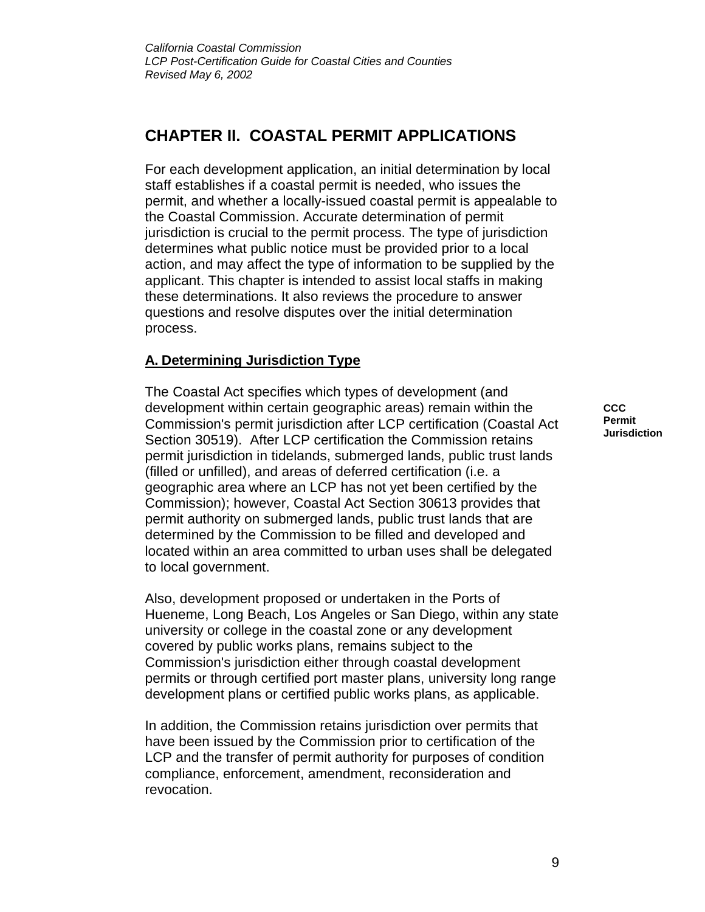## **CHAPTER II. COASTAL PERMIT APPLICATIONS**

For each development application, an initial determination by local staff establishes if a coastal permit is needed, who issues the permit, and whether a locally-issued coastal permit is appealable to the Coastal Commission. Accurate determination of permit jurisdiction is crucial to the permit process. The type of jurisdiction determines what public notice must be provided prior to a local action, and may affect the type of information to be supplied by the applicant. This chapter is intended to assist local staffs in making these determinations. It also reviews the procedure to answer questions and resolve disputes over the initial determination process.

## **A. Determining Jurisdiction Type**

The Coastal Act specifies which types of development (and development within certain geographic areas) remain within the Commission's permit jurisdiction after LCP certification (Coastal Act Section 30519). After LCP certification the Commission retains permit jurisdiction in tidelands, submerged lands, public trust lands (filled or unfilled), and areas of deferred certification (i.e. a geographic area where an LCP has not yet been certified by the Commission); however, Coastal Act Section 30613 provides that permit authority on submerged lands, public trust lands that are determined by the Commission to be filled and developed and located within an area committed to urban uses shall be delegated to local government.

Also, development proposed or undertaken in the Ports of Hueneme, Long Beach, Los Angeles or San Diego, within any state university or college in the coastal zone or any development covered by public works plans, remains subject to the Commission's jurisdiction either through coastal development permits or through certified port master plans, university long range development plans or certified public works plans, as applicable.

In addition, the Commission retains jurisdiction over permits that have been issued by the Commission prior to certification of the LCP and the transfer of permit authority for purposes of condition compliance, enforcement, amendment, reconsideration and revocation.

**CCC Permit Jurisdiction**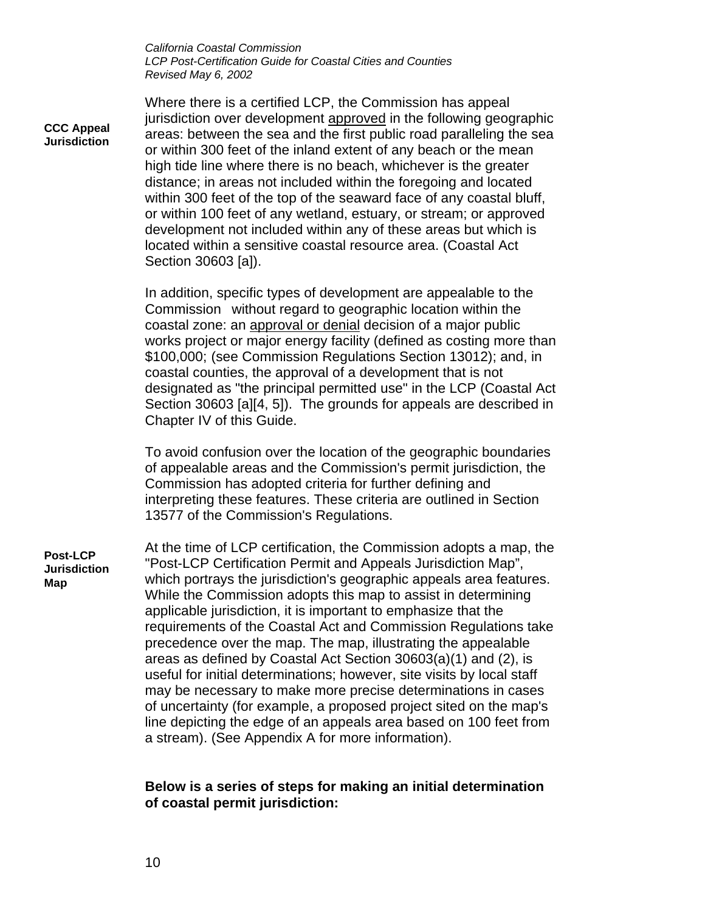**CCC Appeal Jurisdiction**

Where there is a certified LCP, the Commission has appeal jurisdiction over development approved in the following geographic areas: between the sea and the first public road paralleling the sea or within 300 feet of the inland extent of any beach or the mean high tide line where there is no beach, whichever is the greater distance; in areas not included within the foregoing and located within 300 feet of the top of the seaward face of any coastal bluff, or within 100 feet of any wetland, estuary, or stream; or approved development not included within any of these areas but which is located within a sensitive coastal resource area. (Coastal Act Section 30603 [a]).

In addition, specific types of development are appealable to the Commission without regard to geographic location within the coastal zone: an approval or denial decision of a major public works project or major energy facility (defined as costing more than \$100,000; (see Commission Regulations Section 13012); and, in coastal counties, the approval of a development that is not designated as "the principal permitted use" in the LCP (Coastal Act Section 30603 [a][4, 5]). The grounds for appeals are described in Chapter IV of this Guide.

To avoid confusion over the location of the geographic boundaries of appealable areas and the Commission's permit jurisdiction, the Commission has adopted criteria for further defining and interpreting these features. These criteria are outlined in Section 13577 of the Commission's Regulations.

At the time of LCP certification, the Commission adopts a map, the "Post-LCP Certification Permit and Appeals Jurisdiction Map", which portrays the jurisdiction's geographic appeals area features. While the Commission adopts this map to assist in determining applicable jurisdiction, it is important to emphasize that the requirements of the Coastal Act and Commission Regulations take precedence over the map. The map, illustrating the appealable areas as defined by Coastal Act Section 30603(a)(1) and (2), is useful for initial determinations; however, site visits by local staff may be necessary to make more precise determinations in cases of uncertainty (for example, a proposed project sited on the map's line depicting the edge of an appeals area based on 100 feet from a stream). (See Appendix A for more information). **Post-LCP Jurisdiction Map**

#### **Below is a series of steps for making an initial determination of coastal permit jurisdiction:**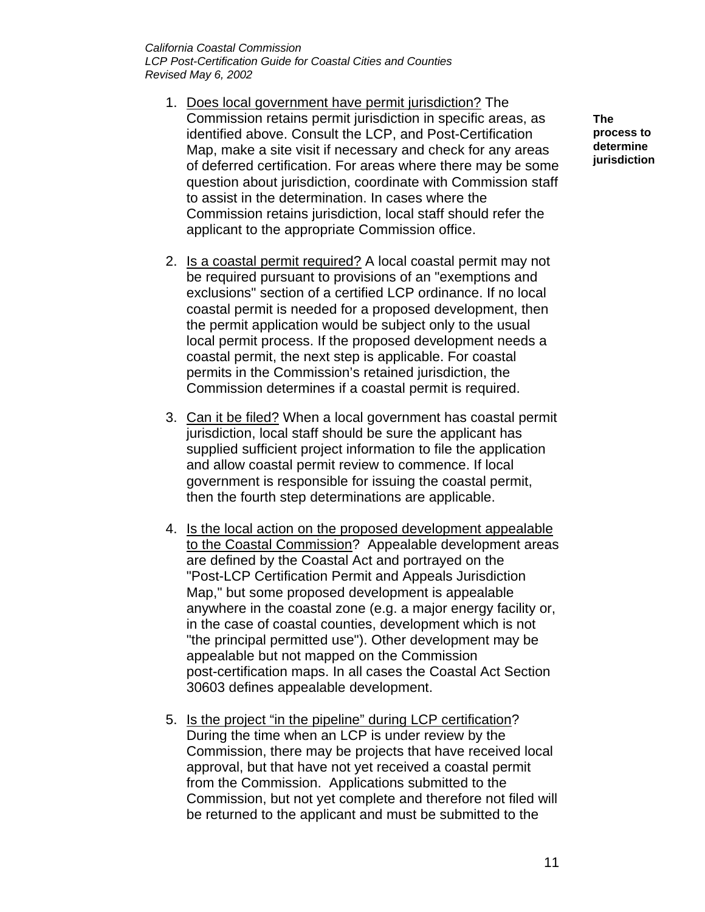- 1. Does local government have permit jurisdiction? The Commission retains permit jurisdiction in specific areas, as identified above. Consult the LCP, and Post-Certification Map, make a site visit if necessary and check for any areas of deferred certification. For areas where there may be some question about jurisdiction, coordinate with Commission staff to assist in the determination. In cases where the Commission retains jurisdiction, local staff should refer the applicant to the appropriate Commission office.
- 2. Is a coastal permit required? A local coastal permit may not be required pursuant to provisions of an "exemptions and exclusions" section of a certified LCP ordinance. If no local coastal permit is needed for a proposed development, then the permit application would be subject only to the usual local permit process. If the proposed development needs a coastal permit, the next step is applicable. For coastal permits in the Commission's retained jurisdiction, the Commission determines if a coastal permit is required.
- 3. Can it be filed? When a local government has coastal permit jurisdiction, local staff should be sure the applicant has supplied sufficient project information to file the application and allow coastal permit review to commence. If local government is responsible for issuing the coastal permit, then the fourth step determinations are applicable.
- 4. Is the local action on the proposed development appealable to the Coastal Commission? Appealable development areas are defined by the Coastal Act and portrayed on the "Post-LCP Certification Permit and Appeals Jurisdiction Map," but some proposed development is appealable anywhere in the coastal zone (e.g. a major energy facility or, in the case of coastal counties, development which is not "the principal permitted use"). Other development may be appealable but not mapped on the Commission post-certification maps. In all cases the Coastal Act Section 30603 defines appealable development.
- 5. Is the project "in the pipeline" during LCP certification? During the time when an LCP is under review by the Commission, there may be projects that have received local approval, but that have not yet received a coastal permit from the Commission. Applications submitted to the Commission, but not yet complete and therefore not filed will be returned to the applicant and must be submitted to the

**The process to determine jurisdiction**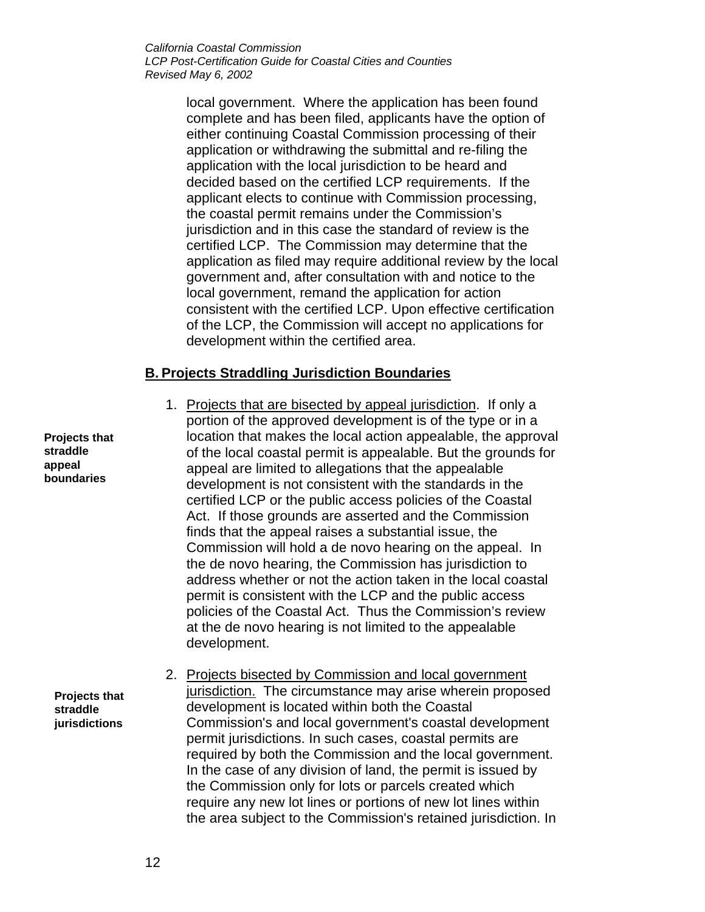> local government. Where the application has been found complete and has been filed, applicants have the option of either continuing Coastal Commission processing of their application or withdrawing the submittal and re-filing the application with the local jurisdiction to be heard and decided based on the certified LCP requirements. If the applicant elects to continue with Commission processing, the coastal permit remains under the Commission's jurisdiction and in this case the standard of review is the certified LCP. The Commission may determine that the application as filed may require additional review by the local government and, after consultation with and notice to the local government, remand the application for action consistent with the certified LCP. Upon effective certification of the LCP, the Commission will accept no applications for development within the certified area.

### **B. Projects Straddling Jurisdiction Boundaries**

1. Projects that are bisected by appeal jurisdiction. If only a portion of the approved development is of the type or in a location that makes the local action appealable, the approval of the local coastal permit is appealable. But the grounds for appeal are limited to allegations that the appealable development is not consistent with the standards in the certified LCP or the public access policies of the Coastal Act. If those grounds are asserted and the Commission finds that the appeal raises a substantial issue, the Commission will hold a de novo hearing on the appeal. In the de novo hearing, the Commission has jurisdiction to address whether or not the action taken in the local coastal permit is consistent with the LCP and the public access policies of the Coastal Act. Thus the Commission's review at the de novo hearing is not limited to the appealable development.

2. Projects bisected by Commission and local government jurisdiction. The circumstance may arise wherein proposed development is located within both the Coastal Commission's and local government's coastal development permit jurisdictions. In such cases, coastal permits are required by both the Commission and the local government. In the case of any division of land, the permit is issued by the Commission only for lots or parcels created which require any new lot lines or portions of new lot lines within the area subject to the Commission's retained jurisdiction. In

**Projects that straddle appeal boundaries**

> **Projects that straddle jurisdictions**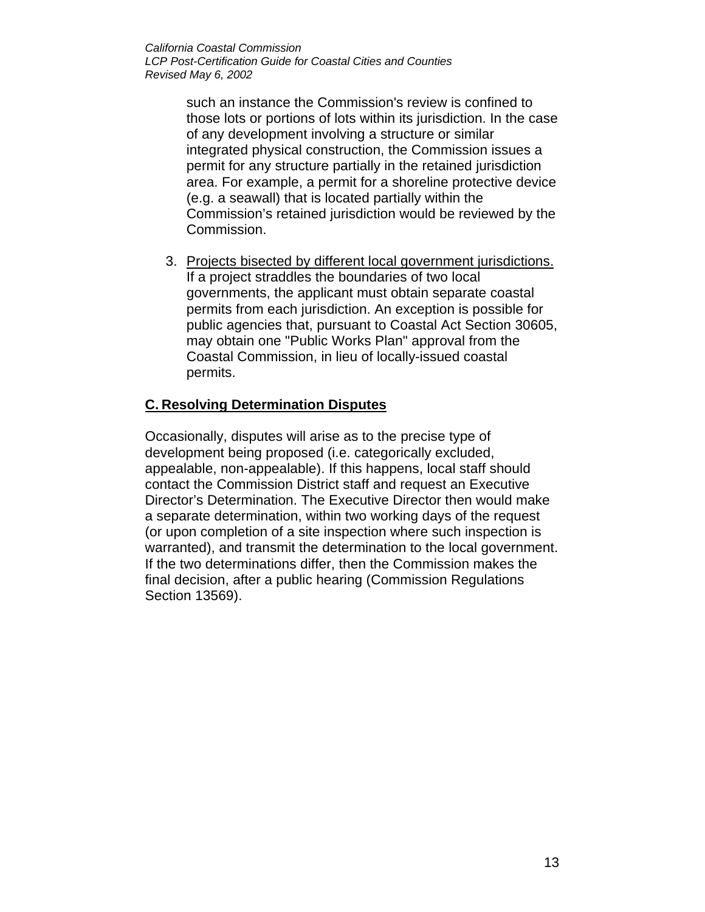> such an instance the Commission's review is confined to those lots or portions of lots within its jurisdiction. In the case of any development involving a structure or similar integrated physical construction, the Commission issues a permit for any structure partially in the retained jurisdiction area. For example, a permit for a shoreline protective device (e.g. a seawall) that is located partially within the Commission's retained jurisdiction would be reviewed by the Commission.

3. Projects bisected by different local government jurisdictions. If a project straddles the boundaries of two local governments, the applicant must obtain separate coastal permits from each jurisdiction. An exception is possible for public agencies that, pursuant to Coastal Act Section 30605, may obtain one "Public Works Plan" approval from the Coastal Commission, in lieu of locally-issued coastal permits.

### **C. Resolving Determination Disputes**

Occasionally, disputes will arise as to the precise type of development being proposed (i.e. categorically excluded, appealable, non-appealable). If this happens, local staff should contact the Commission District staff and request an Executive Director's Determination. The Executive Director then would make a separate determination, within two working days of the request (or upon completion of a site inspection where such inspection is warranted), and transmit the determination to the local government. If the two determinations differ, then the Commission makes the final decision, after a public hearing (Commission Regulations Section 13569).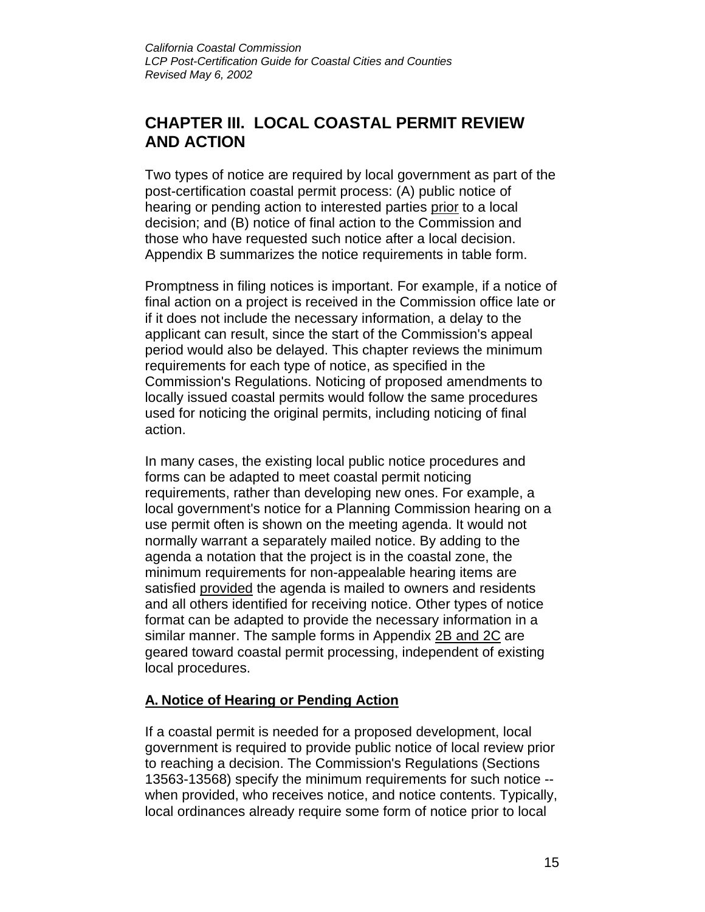## **CHAPTER III. LOCAL COASTAL PERMIT REVIEW AND ACTION**

Two types of notice are required by local government as part of the post-certification coastal permit process: (A) public notice of hearing or pending action to interested parties prior to a local decision; and (B) notice of final action to the Commission and those who have requested such notice after a local decision. Appendix B summarizes the notice requirements in table form.

Promptness in filing notices is important. For example, if a notice of final action on a project is received in the Commission office late or if it does not include the necessary information, a delay to the applicant can result, since the start of the Commission's appeal period would also be delayed. This chapter reviews the minimum requirements for each type of notice, as specified in the Commission's Regulations. Noticing of proposed amendments to locally issued coastal permits would follow the same procedures used for noticing the original permits, including noticing of final action.

In many cases, the existing local public notice procedures and forms can be adapted to meet coastal permit noticing requirements, rather than developing new ones. For example, a local government's notice for a Planning Commission hearing on a use permit often is shown on the meeting agenda. It would not normally warrant a separately mailed notice. By adding to the agenda a notation that the project is in the coastal zone, the minimum requirements for non-appealable hearing items are satisfied provided the agenda is mailed to owners and residents and all others identified for receiving notice. Other types of notice format can be adapted to provide the necessary information in a similar manner. The sample forms in Appendix 2B and 2C are geared toward coastal permit processing, independent of existing local procedures.

## **A. Notice of Hearing or Pending Action**

If a coastal permit is needed for a proposed development, local government is required to provide public notice of local review prior to reaching a decision. The Commission's Regulations (Sections 13563-13568) specify the minimum requirements for such notice - when provided, who receives notice, and notice contents. Typically, local ordinances already require some form of notice prior to local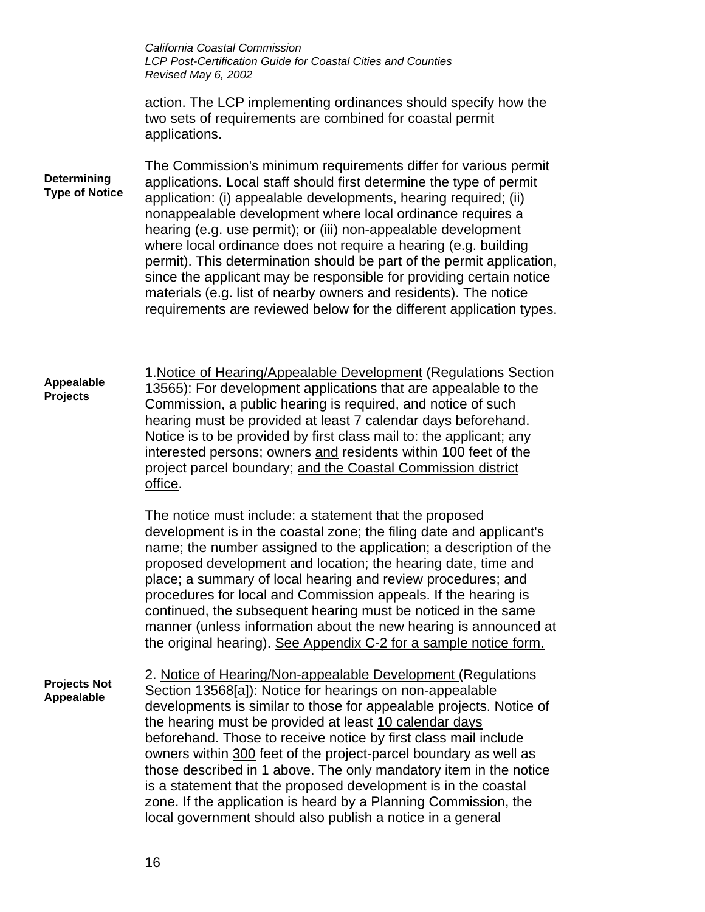*California Coastal Commission LCP Post-Certification Guide for Coastal Cities and Counties Revised May 6, 2002* action. The LCP implementing ordinances should specify how the two sets of requirements are combined for coastal permit applications. The Commission's minimum requirements differ for various permit applications. Local staff should first determine the type of permit application: (i) appealable developments, hearing required; (ii) nonappealable development where local ordinance requires a hearing (e.g. use permit); or (iii) non-appealable development where local ordinance does not require a hearing (e.g. building permit). This determination should be part of the permit application, since the applicant may be responsible for providing certain notice materials (e.g. list of nearby owners and residents). The notice requirements are reviewed below for the different application types. 1.Notice of Hearing/Appealable Development (Regulations Section 13565): For development applications that are appealable to the Commission, a public hearing is required, and notice of such hearing must be provided at least 7 calendar days beforehand. Notice is to be provided by first class mail to: the applicant; any interested persons; owners and residents within 100 feet of the project parcel boundary; and the Coastal Commission district office. The notice must include: a statement that the proposed development is in the coastal zone; the filing date and applicant's name; the number assigned to the application; a description of the proposed development and location; the hearing date, time and place; a summary of local hearing and review procedures; and procedures for local and Commission appeals. If the hearing is continued, the subsequent hearing must be noticed in the same manner (unless information about the new hearing is announced at the original hearing). See Appendix C-2 for a sample notice form. 2. Notice of Hearing/Non-appealable Development (Regulations Section 13568[a]): Notice for hearings on non-appealable developments is similar to those for appealable projects. Notice of the hearing must be provided at least 10 calendar days beforehand. Those to receive notice by first class mail include owners within 300 feet of the project-parcel boundary as well as those described in 1 above. The only mandatory item in the notice is a statement that the proposed development is in the coastal zone. If the application is heard by a Planning Commission, the local government should also publish a notice in a general **Determining Type of Notice Appealable Projects Projects Not Appealable**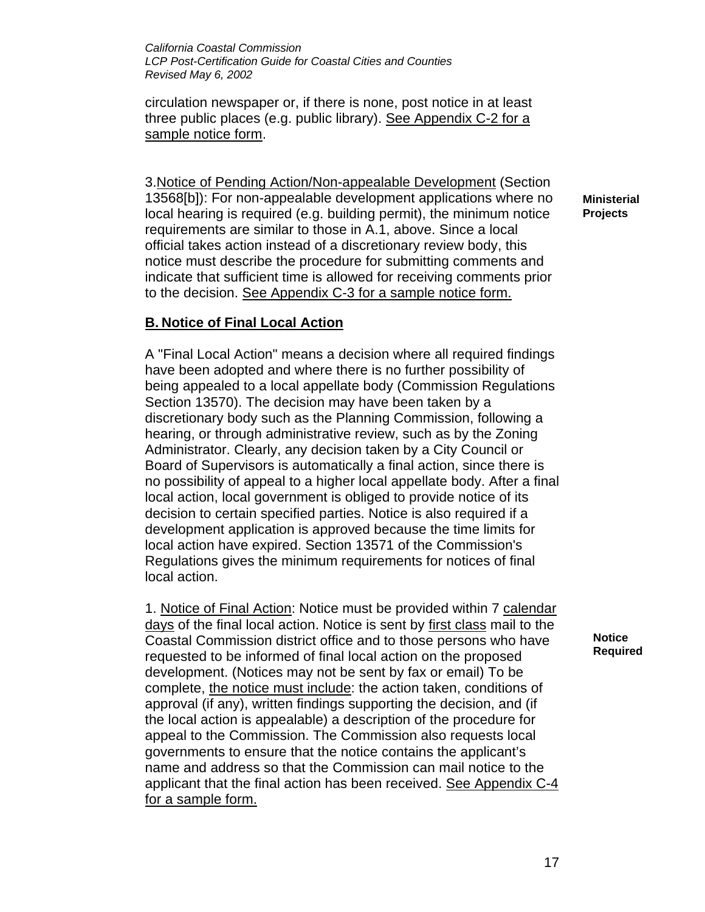circulation newspaper or, if there is none, post notice in at least three public places (e.g. public library). See Appendix C-2 for a sample notice form.

3.Notice of Pending Action/Non-appealable Development (Section 13568[b]): For non-appealable development applications where no local hearing is required (e.g. building permit), the minimum notice requirements are similar to those in A.1, above. Since a local official takes action instead of a discretionary review body, this notice must describe the procedure for submitting comments and indicate that sufficient time is allowed for receiving comments prior to the decision. See Appendix C-3 for a sample notice form.

### **B. Notice of Final Local Action**

A "Final Local Action" means a decision where all required findings have been adopted and where there is no further possibility of being appealed to a local appellate body (Commission Regulations Section 13570). The decision may have been taken by a discretionary body such as the Planning Commission, following a hearing, or through administrative review, such as by the Zoning Administrator. Clearly, any decision taken by a City Council or Board of Supervisors is automatically a final action, since there is no possibility of appeal to a higher local appellate body. After a final local action, local government is obliged to provide notice of its decision to certain specified parties. Notice is also required if a development application is approved because the time limits for local action have expired. Section 13571 of the Commission's Regulations gives the minimum requirements for notices of final local action.

1. Notice of Final Action: Notice must be provided within 7 calendar days of the final local action. Notice is sent by first class mail to the Coastal Commission district office and to those persons who have requested to be informed of final local action on the proposed development. (Notices may not be sent by fax or email) To be complete, the notice must include: the action taken, conditions of approval (if any), written findings supporting the decision, and (if the local action is appealable) a description of the procedure for appeal to the Commission. The Commission also requests local governments to ensure that the notice contains the applicant's name and address so that the Commission can mail notice to the applicant that the final action has been received. See Appendix C-4 for a sample form.

**Ministerial Projects**

> **Notice Required**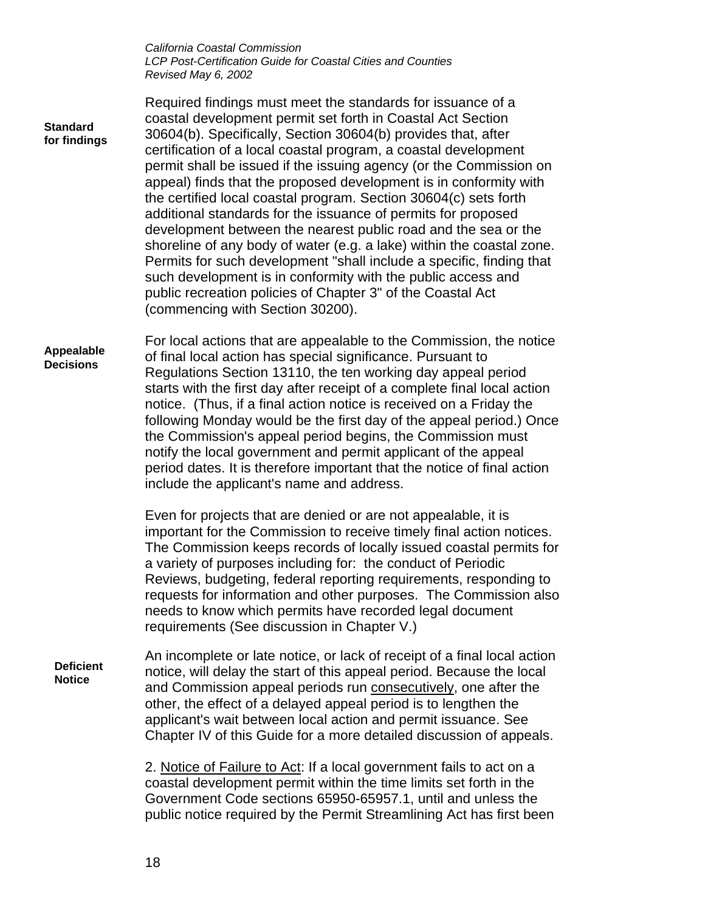| <b>Standard</b><br>for findings   | Required findings must meet the standards for issuance of a<br>coastal development permit set forth in Coastal Act Section<br>30604(b). Specifically, Section 30604(b) provides that, after<br>certification of a local coastal program, a coastal development<br>permit shall be issued if the issuing agency (or the Commission on<br>appeal) finds that the proposed development is in conformity with<br>the certified local coastal program. Section 30604(c) sets forth<br>additional standards for the issuance of permits for proposed<br>development between the nearest public road and the sea or the<br>shoreline of any body of water (e.g. a lake) within the coastal zone.<br>Permits for such development "shall include a specific, finding that<br>such development is in conformity with the public access and<br>public recreation policies of Chapter 3" of the Coastal Act<br>(commencing with Section 30200). |
|-----------------------------------|--------------------------------------------------------------------------------------------------------------------------------------------------------------------------------------------------------------------------------------------------------------------------------------------------------------------------------------------------------------------------------------------------------------------------------------------------------------------------------------------------------------------------------------------------------------------------------------------------------------------------------------------------------------------------------------------------------------------------------------------------------------------------------------------------------------------------------------------------------------------------------------------------------------------------------------|
| Appealable<br><b>Decisions</b>    | For local actions that are appealable to the Commission, the notice<br>of final local action has special significance. Pursuant to<br>Regulations Section 13110, the ten working day appeal period<br>starts with the first day after receipt of a complete final local action<br>notice. (Thus, if a final action notice is received on a Friday the<br>following Monday would be the first day of the appeal period.) Once<br>the Commission's appeal period begins, the Commission must<br>notify the local government and permit applicant of the appeal<br>period dates. It is therefore important that the notice of final action<br>include the applicant's name and address.                                                                                                                                                                                                                                                 |
|                                   | Even for projects that are denied or are not appealable, it is<br>important for the Commission to receive timely final action notices.<br>The Commission keeps records of locally issued coastal permits for<br>a variety of purposes including for: the conduct of Periodic<br>Reviews, budgeting, federal reporting requirements, responding to<br>requests for information and other purposes. The Commission also<br>needs to know which permits have recorded legal document<br>requirements (See discussion in Chapter V.)                                                                                                                                                                                                                                                                                                                                                                                                     |
| <b>Deficient</b><br><b>Notice</b> | An incomplete or late notice, or lack of receipt of a final local action<br>notice, will delay the start of this appeal period. Because the local<br>and Commission appeal periods run consecutively, one after the<br>other, the effect of a delayed appeal period is to lengthen the<br>applicant's wait between local action and permit issuance. See<br>Chapter IV of this Guide for a more detailed discussion of appeals.                                                                                                                                                                                                                                                                                                                                                                                                                                                                                                      |
|                                   | 2. Notice of Failure to Act: If a local government fails to act on a<br>coastal development permit within the time limits set forth in the<br>Government Code sections 65950-65957.1, until and unless the<br>public notice required by the Permit Streamlining Act has first been                                                                                                                                                                                                                                                                                                                                                                                                                                                                                                                                                                                                                                                   |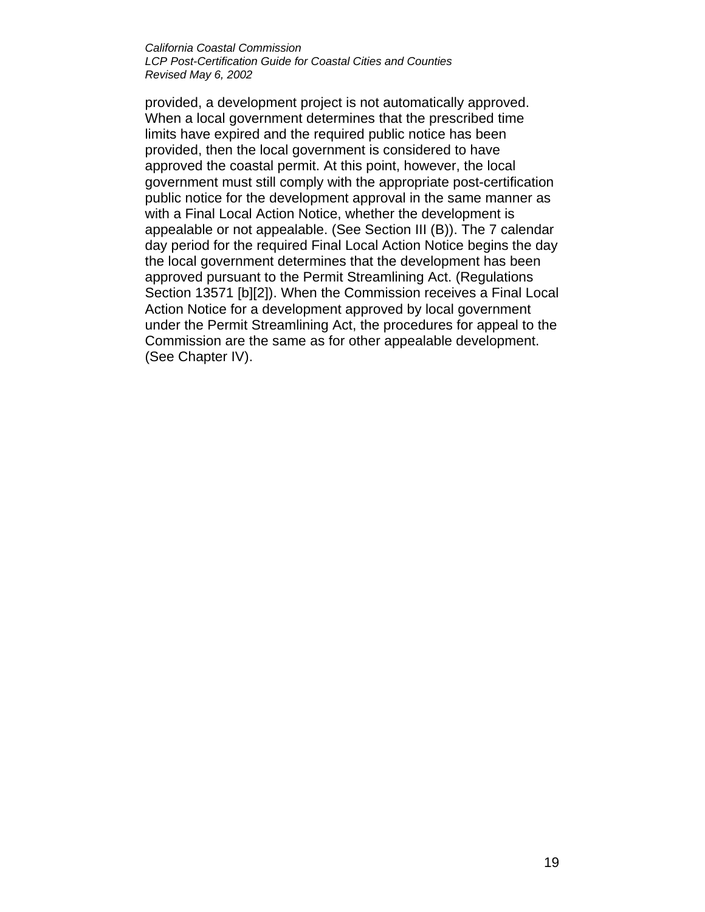provided, a development project is not automatically approved. When a local government determines that the prescribed time limits have expired and the required public notice has been provided, then the local government is considered to have approved the coastal permit. At this point, however, the local government must still comply with the appropriate post-certification public notice for the development approval in the same manner as with a Final Local Action Notice, whether the development is appealable or not appealable. (See Section III (B)). The 7 calendar day period for the required Final Local Action Notice begins the day the local government determines that the development has been approved pursuant to the Permit Streamlining Act. (Regulations Section 13571 [b][2]). When the Commission receives a Final Local Action Notice for a development approved by local government under the Permit Streamlining Act, the procedures for appeal to the Commission are the same as for other appealable development. (See Chapter IV).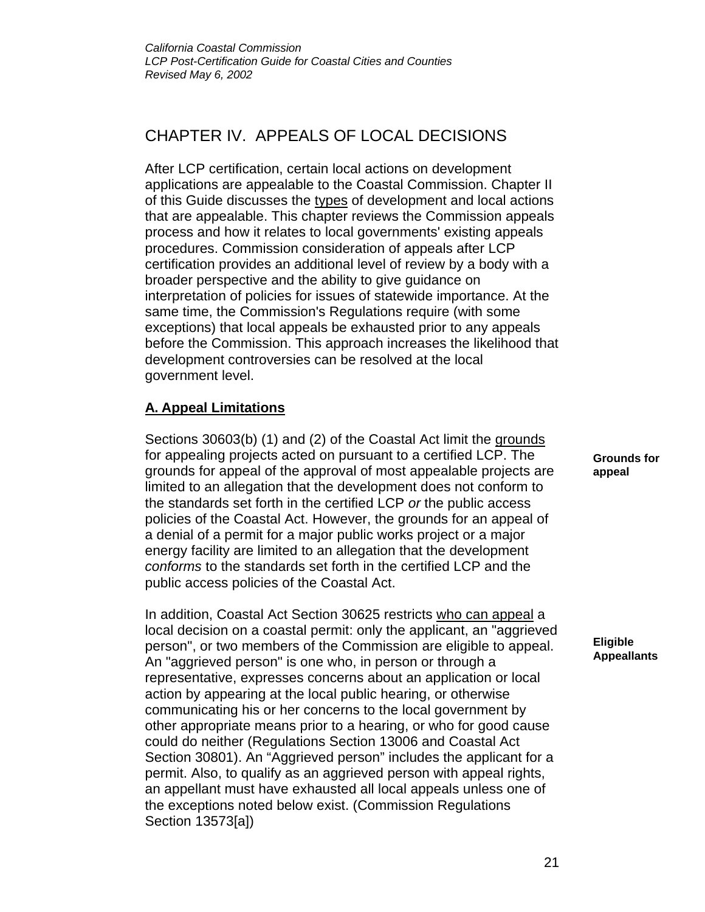## CHAPTER IV. APPEALS OF LOCAL DECISIONS

After LCP certification, certain local actions on development applications are appealable to the Coastal Commission. Chapter II of this Guide discusses the types of development and local actions that are appealable. This chapter reviews the Commission appeals process and how it relates to local governments' existing appeals procedures. Commission consideration of appeals after LCP certification provides an additional level of review by a body with a broader perspective and the ability to give guidance on interpretation of policies for issues of statewide importance. At the same time, the Commission's Regulations require (with some exceptions) that local appeals be exhausted prior to any appeals before the Commission. This approach increases the likelihood that development controversies can be resolved at the local government level.

## **A. Appeal Limitations**

Sections 30603(b) (1) and (2) of the Coastal Act limit the grounds for appealing projects acted on pursuant to a certified LCP. The grounds for appeal of the approval of most appealable projects are limited to an allegation that the development does not conform to the standards set forth in the certified LCP *or* the public access policies of the Coastal Act. However, the grounds for an appeal of a denial of a permit for a major public works project or a major energy facility are limited to an allegation that the development *conforms* to the standards set forth in the certified LCP and the public access policies of the Coastal Act.

In addition, Coastal Act Section 30625 restricts who can appeal a local decision on a coastal permit: only the applicant, an "aggrieved person", or two members of the Commission are eligible to appeal. An "aggrieved person" is one who, in person or through a representative, expresses concerns about an application or local action by appearing at the local public hearing, or otherwise communicating his or her concerns to the local government by other appropriate means prior to a hearing, or who for good cause could do neither (Regulations Section 13006 and Coastal Act Section 30801). An "Aggrieved person" includes the applicant for a permit. Also, to qualify as an aggrieved person with appeal rights, an appellant must have exhausted all local appeals unless one of the exceptions noted below exist. (Commission Regulations Section 13573[a])

**Grounds for appeal**

**Eligible Appeallants**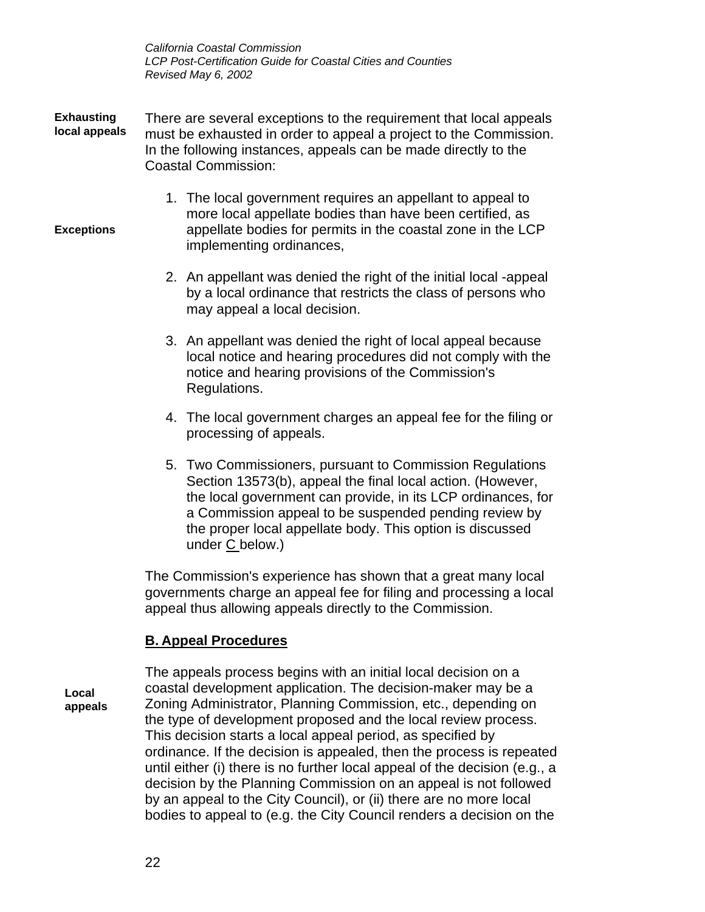- There are several exceptions to the requirement that local appeals must be exhausted in order to appeal a project to the Commission. In the following instances, appeals can be made directly to the Coastal Commission: **Exhausting local appeals**
	- 1. The local government requires an appellant to appeal to more local appellate bodies than have been certified, as appellate bodies for permits in the coastal zone in the LCP implementing ordinances,
	- 2. An appellant was denied the right of the initial local -appeal by a local ordinance that restricts the class of persons who may appeal a local decision.
	- 3. An appellant was denied the right of local appeal because local notice and hearing procedures did not comply with the notice and hearing provisions of the Commission's Regulations.
	- 4. The local government charges an appeal fee for the filing or processing of appeals.
	- 5. Two Commissioners, pursuant to Commission Regulations Section 13573(b), appeal the final local action. (However, the local government can provide, in its LCP ordinances, for a Commission appeal to be suspended pending review by the proper local appellate body. This option is discussed under C below.)

The Commission's experience has shown that a great many local governments charge an appeal fee for filing and processing a local appeal thus allowing appeals directly to the Commission.

## **B. Appeal Procedures**

**Local appeals**

**Exceptions**

The appeals process begins with an initial local decision on a coastal development application. The decision-maker may be a Zoning Administrator, Planning Commission, etc., depending on the type of development proposed and the local review process. This decision starts a local appeal period, as specified by ordinance. If the decision is appealed, then the process is repeated until either (i) there is no further local appeal of the decision (e.g., a decision by the Planning Commission on an appeal is not followed by an appeal to the City Council), or (ii) there are no more local bodies to appeal to (e.g. the City Council renders a decision on the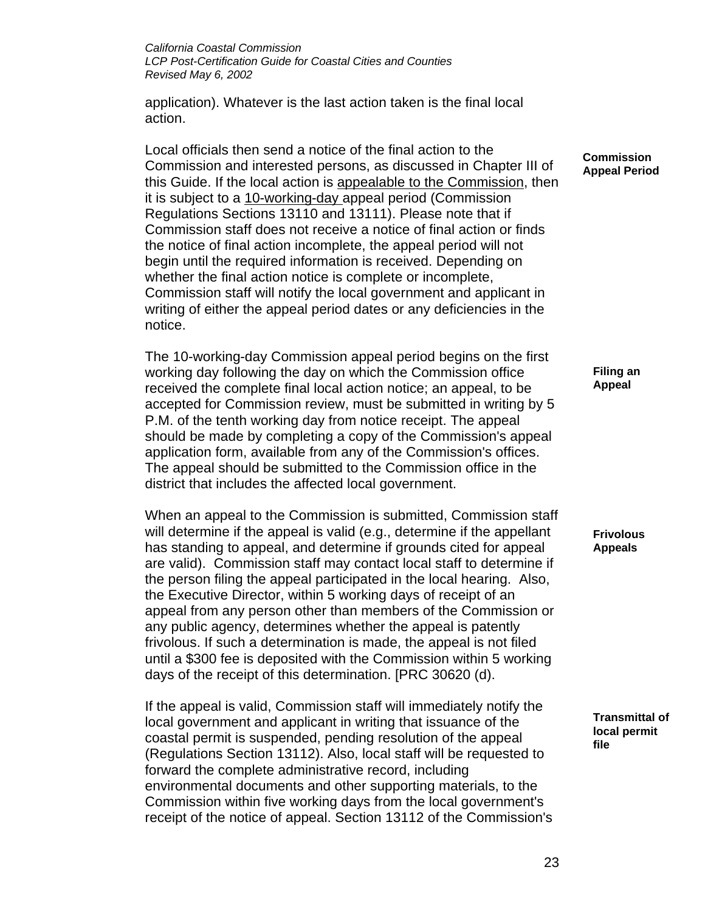application). Whatever is the last action taken is the final local action.

Local officials then send a notice of the final action to the Commission and interested persons, as discussed in Chapter III of this Guide. If the local action is appealable to the Commission, then it is subject to a 10-working-day appeal period (Commission Regulations Sections 13110 and 13111). Please note that if Commission staff does not receive a notice of final action or finds the notice of final action incomplete, the appeal period will not begin until the required information is received. Depending on whether the final action notice is complete or incomplete, Commission staff will notify the local government and applicant in writing of either the appeal period dates or any deficiencies in the notice.

The 10-working-day Commission appeal period begins on the first working day following the day on which the Commission office received the complete final local action notice; an appeal, to be accepted for Commission review, must be submitted in writing by 5 P.M. of the tenth working day from notice receipt. The appeal should be made by completing a copy of the Commission's appeal application form, available from any of the Commission's offices. The appeal should be submitted to the Commission office in the district that includes the affected local government.

When an appeal to the Commission is submitted, Commission staff will determine if the appeal is valid (e.g., determine if the appellant has standing to appeal, and determine if grounds cited for appeal are valid). Commission staff may contact local staff to determine if the person filing the appeal participated in the local hearing. Also, the Executive Director, within 5 working days of receipt of an appeal from any person other than members of the Commission or any public agency, determines whether the appeal is patently frivolous. If such a determination is made, the appeal is not filed until a \$300 fee is deposited with the Commission within 5 working days of the receipt of this determination. [PRC 30620 (d).

If the appeal is valid, Commission staff will immediately notify the local government and applicant in writing that issuance of the coastal permit is suspended, pending resolution of the appeal (Regulations Section 13112). Also, local staff will be requested to forward the complete administrative record, including environmental documents and other supporting materials, to the Commission within five working days from the local government's receipt of the notice of appeal. Section 13112 of the Commission's **Commission Appeal Period**

> **Filing an Appeal**

**Frivolous Appeals**

**Transmittal of local permit file**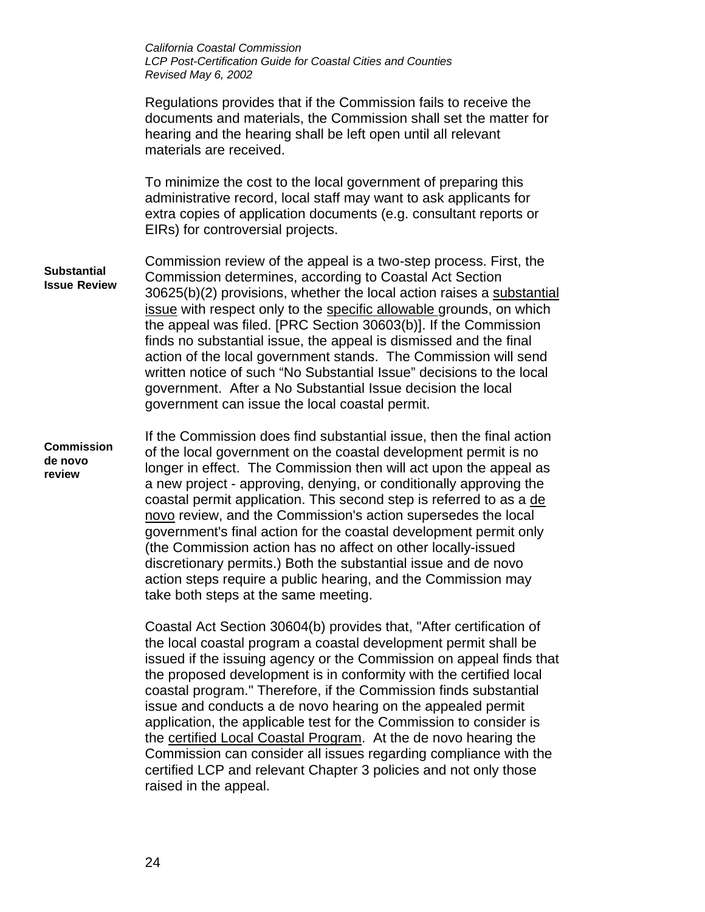|                                           | California Coastal Commission<br><b>LCP Post-Certification Guide for Coastal Cities and Counties</b><br>Revised May 6, 2002                                                                                                                                                                                                                                                                                                                                                                                                                                                                                                                                                                                                                |
|-------------------------------------------|--------------------------------------------------------------------------------------------------------------------------------------------------------------------------------------------------------------------------------------------------------------------------------------------------------------------------------------------------------------------------------------------------------------------------------------------------------------------------------------------------------------------------------------------------------------------------------------------------------------------------------------------------------------------------------------------------------------------------------------------|
|                                           | Regulations provides that if the Commission fails to receive the<br>documents and materials, the Commission shall set the matter for<br>hearing and the hearing shall be left open until all relevant<br>materials are received.                                                                                                                                                                                                                                                                                                                                                                                                                                                                                                           |
|                                           | To minimize the cost to the local government of preparing this<br>administrative record, local staff may want to ask applicants for<br>extra copies of application documents (e.g. consultant reports or<br>EIRs) for controversial projects.                                                                                                                                                                                                                                                                                                                                                                                                                                                                                              |
| <b>Substantial</b><br><b>Issue Review</b> | Commission review of the appeal is a two-step process. First, the<br>Commission determines, according to Coastal Act Section<br>30625(b)(2) provisions, whether the local action raises a substantial<br>issue with respect only to the specific allowable grounds, on which<br>the appeal was filed. [PRC Section 30603(b)]. If the Commission<br>finds no substantial issue, the appeal is dismissed and the final<br>action of the local government stands. The Commission will send<br>written notice of such "No Substantial Issue" decisions to the local<br>government. After a No Substantial Issue decision the local<br>government can issue the local coastal permit.                                                           |
| <b>Commission</b><br>de novo<br>review    | If the Commission does find substantial issue, then the final action<br>of the local government on the coastal development permit is no<br>longer in effect. The Commission then will act upon the appeal as<br>a new project - approving, denying, or conditionally approving the<br>coastal permit application. This second step is referred to as a de<br>novo review, and the Commission's action supersedes the local<br>government's final action for the coastal development permit only<br>(the Commission action has no affect on other locally-issued<br>discretionary permits.) Both the substantial issue and de novo<br>action steps require a public hearing, and the Commission may<br>take both steps at the same meeting. |
|                                           | Coastal Act Section 30604(b) provides that, "After certification of<br>the local coastal program a coastal development permit shall be<br>issued if the issuing agency or the Commission on appeal finds that<br>the proposed development is in conformity with the certified local<br>coastal program." Therefore, if the Commission finds substantial<br>issue and conducts a de novo hearing on the appealed permit<br>application, the applicable test for the Commission to consider is<br>the certified Local Coastal Program. At the de novo hearing the<br>Commission can consider all issues regarding compliance with the<br>certified LCP and relevant Chapter 3 policies and not only those<br>raised in the appeal.           |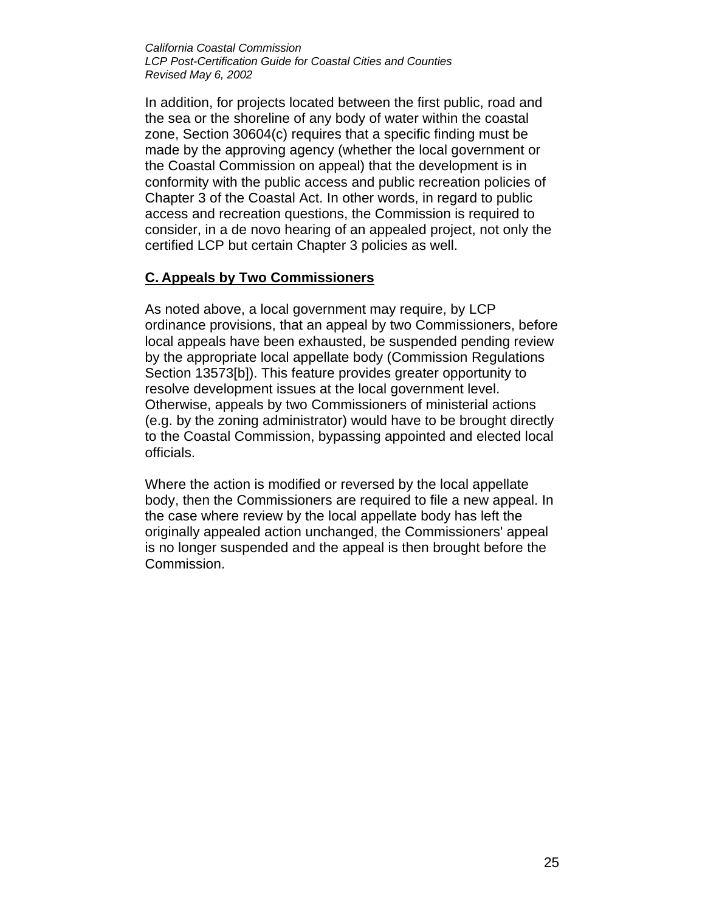In addition, for projects located between the first public, road and the sea or the shoreline of any body of water within the coastal zone, Section 30604(c) requires that a specific finding must be made by the approving agency (whether the local government or the Coastal Commission on appeal) that the development is in conformity with the public access and public recreation policies of Chapter 3 of the Coastal Act. In other words, in regard to public access and recreation questions, the Commission is required to consider, in a de novo hearing of an appealed project, not only the certified LCP but certain Chapter 3 policies as well.

### **C. Appeals by Two Commissioners**

As noted above, a local government may require, by LCP ordinance provisions, that an appeal by two Commissioners, before local appeals have been exhausted, be suspended pending review by the appropriate local appellate body (Commission Regulations Section 13573[b]). This feature provides greater opportunity to resolve development issues at the local government level. Otherwise, appeals by two Commissioners of ministerial actions (e.g. by the zoning administrator) would have to be brought directly to the Coastal Commission, bypassing appointed and elected local officials.

Where the action is modified or reversed by the local appellate body, then the Commissioners are required to file a new appeal. In the case where review by the local appellate body has left the originally appealed action unchanged, the Commissioners' appeal is no longer suspended and the appeal is then brought before the Commission.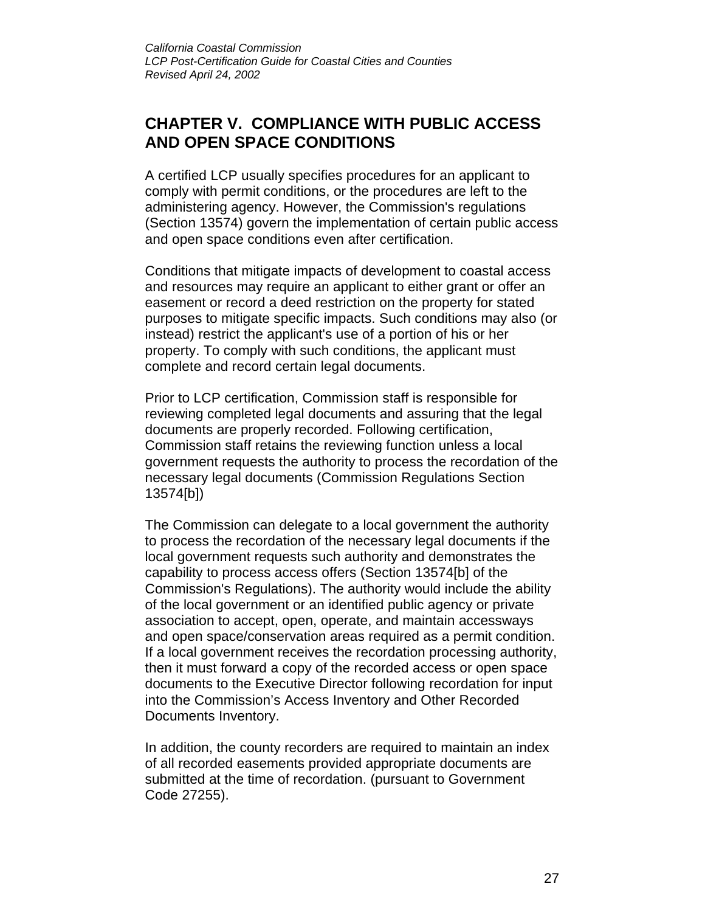## **CHAPTER V. COMPLIANCE WITH PUBLIC ACCESS AND OPEN SPACE CONDITIONS**

A certified LCP usually specifies procedures for an applicant to comply with permit conditions, or the procedures are left to the administering agency. However, the Commission's regulations (Section 13574) govern the implementation of certain public access and open space conditions even after certification.

Conditions that mitigate impacts of development to coastal access and resources may require an applicant to either grant or offer an easement or record a deed restriction on the property for stated purposes to mitigate specific impacts. Such conditions may also (or instead) restrict the applicant's use of a portion of his or her property. To comply with such conditions, the applicant must complete and record certain legal documents.

Prior to LCP certification, Commission staff is responsible for reviewing completed legal documents and assuring that the legal documents are properly recorded. Following certification, Commission staff retains the reviewing function unless a local government requests the authority to process the recordation of the necessary legal documents (Commission Regulations Section 13574[b])

The Commission can delegate to a local government the authority to process the recordation of the necessary legal documents if the local government requests such authority and demonstrates the capability to process access offers (Section 13574[b] of the Commission's Regulations). The authority would include the ability of the local government or an identified public agency or private association to accept, open, operate, and maintain accessways and open space/conservation areas required as a permit condition. If a local government receives the recordation processing authority, then it must forward a copy of the recorded access or open space documents to the Executive Director following recordation for input into the Commission's Access Inventory and Other Recorded Documents Inventory.

In addition, the county recorders are required to maintain an index of all recorded easements provided appropriate documents are submitted at the time of recordation. (pursuant to Government Code 27255).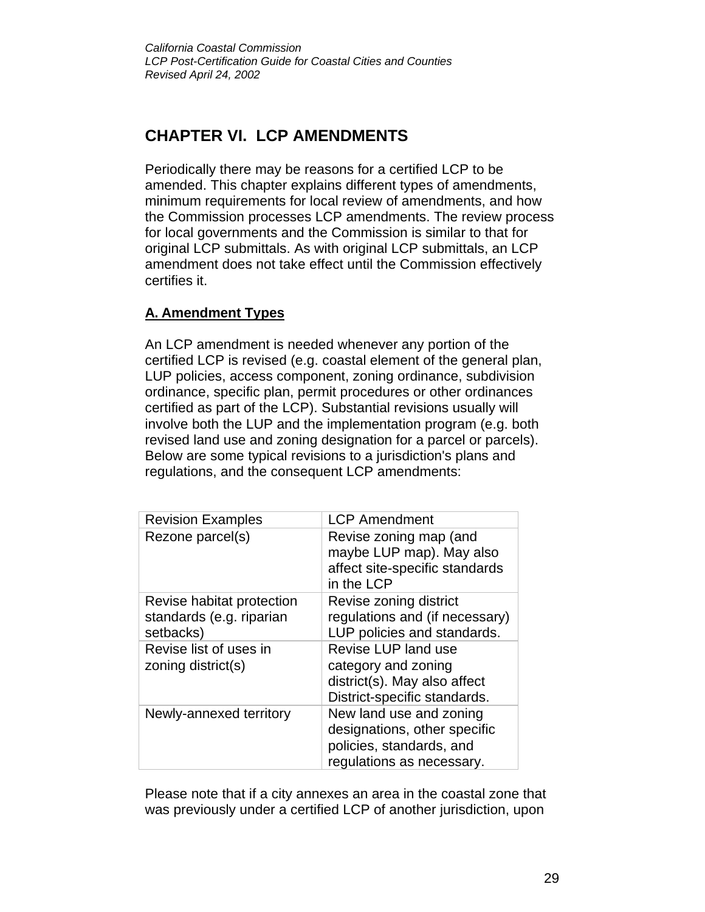## **CHAPTER VI. LCP AMENDMENTS**

Periodically there may be reasons for a certified LCP to be amended. This chapter explains different types of amendments, minimum requirements for local review of amendments, and how the Commission processes LCP amendments. The review process for local governments and the Commission is similar to that for original LCP submittals. As with original LCP submittals, an LCP amendment does not take effect until the Commission effectively certifies it.

## **A. Amendment Types**

An LCP amendment is needed whenever any portion of the certified LCP is revised (e.g. coastal element of the general plan, LUP policies, access component, zoning ordinance, subdivision ordinance, specific plan, permit procedures or other ordinances certified as part of the LCP). Substantial revisions usually will involve both the LUP and the implementation program (e.g. both revised land use and zoning designation for a parcel or parcels). Below are some typical revisions to a jurisdiction's plans and regulations, and the consequent LCP amendments:

| <b>Revision Examples</b>                                           | <b>LCP Amendment</b>                                                                                             |
|--------------------------------------------------------------------|------------------------------------------------------------------------------------------------------------------|
| Rezone parcel(s)                                                   | Revise zoning map (and<br>maybe LUP map). May also<br>affect site-specific standards<br>in the LCP               |
| Revise habitat protection<br>standards (e.g. riparian<br>setbacks) | Revise zoning district<br>regulations and (if necessary)<br>LUP policies and standards.                          |
| Revise list of uses in<br>zoning district(s)                       | Revise LUP land use<br>category and zoning<br>district(s). May also affect<br>District-specific standards.       |
| Newly-annexed territory                                            | New land use and zoning<br>designations, other specific<br>policies, standards, and<br>regulations as necessary. |

Please note that if a city annexes an area in the coastal zone that was previously under a certified LCP of another jurisdiction, upon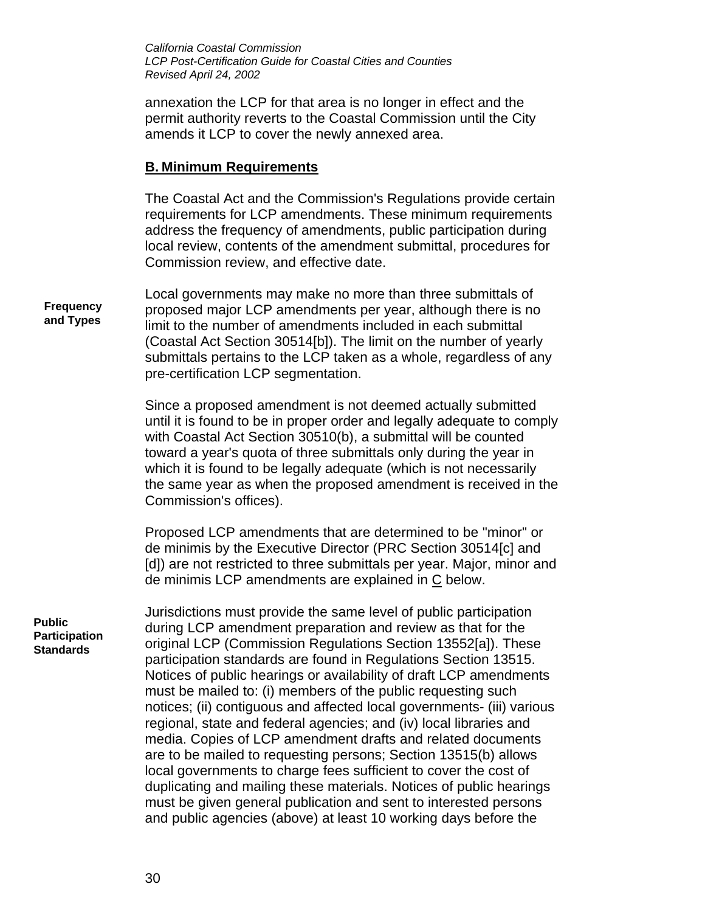annexation the LCP for that area is no longer in effect and the permit authority reverts to the Coastal Commission until the City amends it LCP to cover the newly annexed area.

#### **B. Minimum Requirements**

The Coastal Act and the Commission's Regulations provide certain requirements for LCP amendments. These minimum requirements address the frequency of amendments, public participation during local review, contents of the amendment submittal, procedures for Commission review, and effective date.

Local governments may make no more than three submittals of proposed major LCP amendments per year, although there is no limit to the number of amendments included in each submittal (Coastal Act Section 30514[b]). The limit on the number of yearly submittals pertains to the LCP taken as a whole, regardless of any pre-certification LCP segmentation.

Since a proposed amendment is not deemed actually submitted until it is found to be in proper order and legally adequate to comply with Coastal Act Section 30510(b), a submittal will be counted toward a year's quota of three submittals only during the year in which it is found to be legally adequate (which is not necessarily the same year as when the proposed amendment is received in the Commission's offices).

Proposed LCP amendments that are determined to be "minor" or de minimis by the Executive Director (PRC Section 30514[c] and [d]) are not restricted to three submittals per year. Major, minor and de minimis LCP amendments are explained in C below.

**Public Participation Standards**

**Frequency and Types**

> Jurisdictions must provide the same level of public participation during LCP amendment preparation and review as that for the original LCP (Commission Regulations Section 13552[a]). These participation standards are found in Regulations Section 13515. Notices of public hearings or availability of draft LCP amendments must be mailed to: (i) members of the public requesting such notices; (ii) contiguous and affected local governments- (iii) various regional, state and federal agencies; and (iv) local libraries and media. Copies of LCP amendment drafts and related documents are to be mailed to requesting persons; Section 13515(b) allows local governments to charge fees sufficient to cover the cost of duplicating and mailing these materials. Notices of public hearings must be given general publication and sent to interested persons and public agencies (above) at least 10 working days before the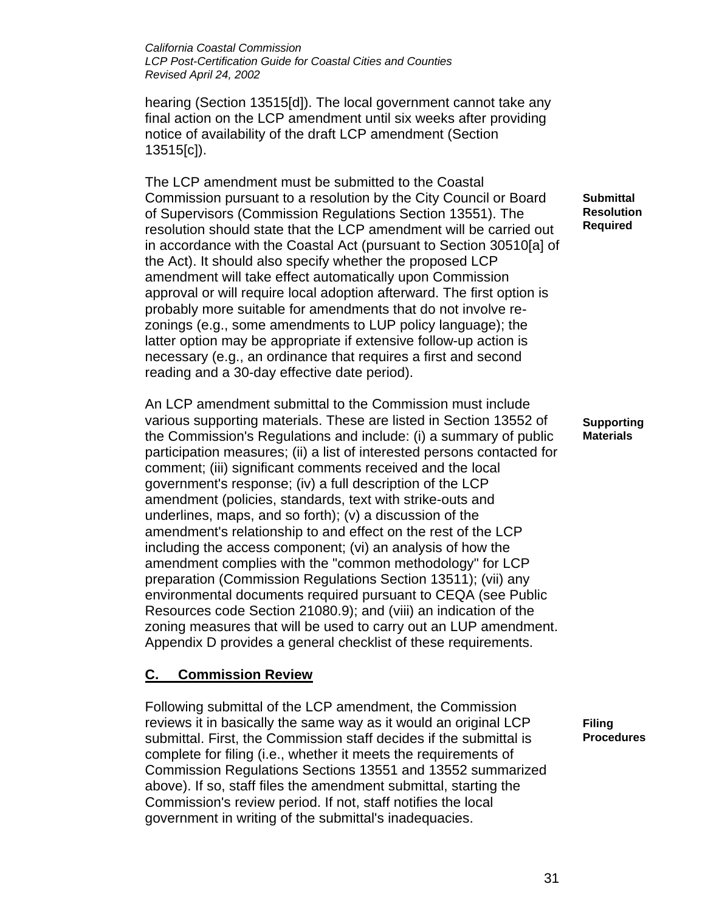hearing (Section 13515[d]). The local government cannot take any final action on the LCP amendment until six weeks after providing notice of availability of the draft LCP amendment (Section 13515[c]).

The LCP amendment must be submitted to the Coastal Commission pursuant to a resolution by the City Council or Board of Supervisors (Commission Regulations Section 13551). The resolution should state that the LCP amendment will be carried out in accordance with the Coastal Act (pursuant to Section 30510[a] of the Act). It should also specify whether the proposed LCP amendment will take effect automatically upon Commission approval or will require local adoption afterward. The first option is probably more suitable for amendments that do not involve rezonings (e.g., some amendments to LUP policy language); the latter option may be appropriate if extensive follow-up action is necessary (e.g., an ordinance that requires a first and second reading and a 30-day effective date period).

An LCP amendment submittal to the Commission must include various supporting materials. These are listed in Section 13552 of the Commission's Regulations and include: (i) a summary of public participation measures; (ii) a list of interested persons contacted for comment; (iii) significant comments received and the local government's response; (iv) a full description of the LCP amendment (policies, standards, text with strike-outs and underlines, maps, and so forth); (v) a discussion of the amendment's relationship to and effect on the rest of the LCP including the access component; (vi) an analysis of how the amendment complies with the "common methodology" for LCP preparation (Commission Regulations Section 13511); (vii) any environmental documents required pursuant to CEQA (see Public Resources code Section 21080.9); and (viii) an indication of the zoning measures that will be used to carry out an LUP amendment. Appendix D provides a general checklist of these requirements.

## **C. Commission Review**

Following submittal of the LCP amendment, the Commission reviews it in basically the same way as it would an original LCP submittal. First, the Commission staff decides if the submittal is complete for filing (i.e., whether it meets the requirements of Commission Regulations Sections 13551 and 13552 summarized above). If so, staff files the amendment submittal, starting the Commission's review period. If not, staff notifies the local government in writing of the submittal's inadequacies.

**Submittal Resolution Required**

**Supporting Materials**

**Filing Procedures**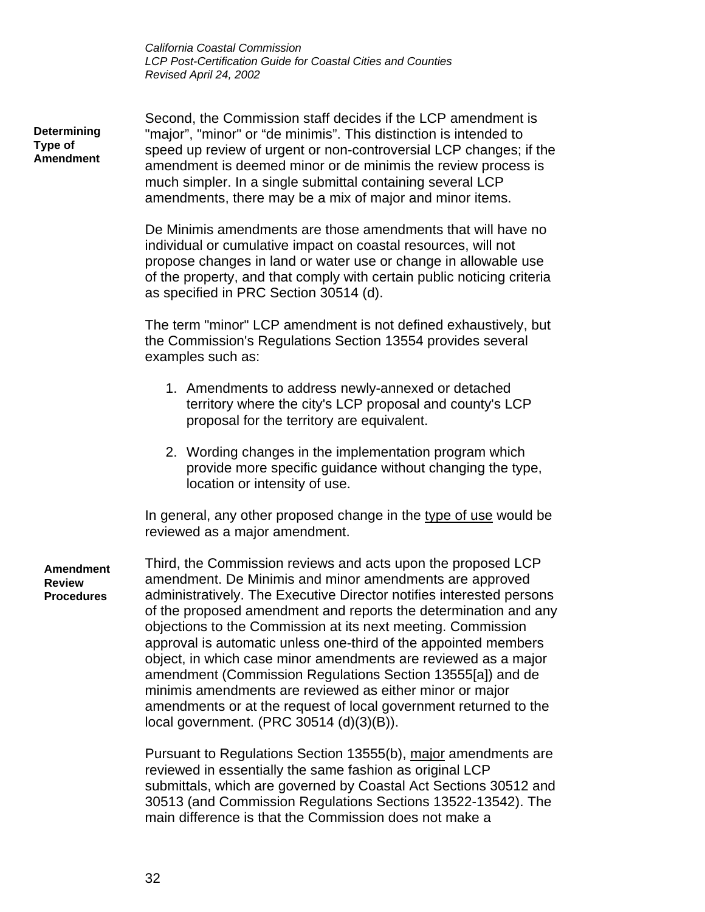**Determining Type of Amendment** Second, the Commission staff decides if the LCP amendment is "major", "minor" or "de minimis". This distinction is intended to speed up review of urgent or non-controversial LCP changes; if the amendment is deemed minor or de minimis the review process is much simpler. In a single submittal containing several LCP amendments, there may be a mix of major and minor items.

De Minimis amendments are those amendments that will have no individual or cumulative impact on coastal resources, will not propose changes in land or water use or change in allowable use of the property, and that comply with certain public noticing criteria as specified in PRC Section 30514 (d).

The term "minor" LCP amendment is not defined exhaustively, but the Commission's Regulations Section 13554 provides several examples such as:

- 1. Amendments to address newly-annexed or detached territory where the city's LCP proposal and county's LCP proposal for the territory are equivalent.
- 2. Wording changes in the implementation program which provide more specific guidance without changing the type, location or intensity of use.

In general, any other proposed change in the type of use would be reviewed as a major amendment.

**Amendment Review Procedures**

Third, the Commission reviews and acts upon the proposed LCP amendment. De Minimis and minor amendments are approved administratively. The Executive Director notifies interested persons of the proposed amendment and reports the determination and any objections to the Commission at its next meeting. Commission approval is automatic unless one-third of the appointed members object, in which case minor amendments are reviewed as a major amendment (Commission Regulations Section 13555[a]) and de minimis amendments are reviewed as either minor or major amendments or at the request of local government returned to the local government. (PRC 30514 (d)(3)(B)).

Pursuant to Regulations Section 13555(b), major amendments are reviewed in essentially the same fashion as original LCP submittals, which are governed by Coastal Act Sections 30512 and 30513 (and Commission Regulations Sections 13522-13542). The main difference is that the Commission does not make a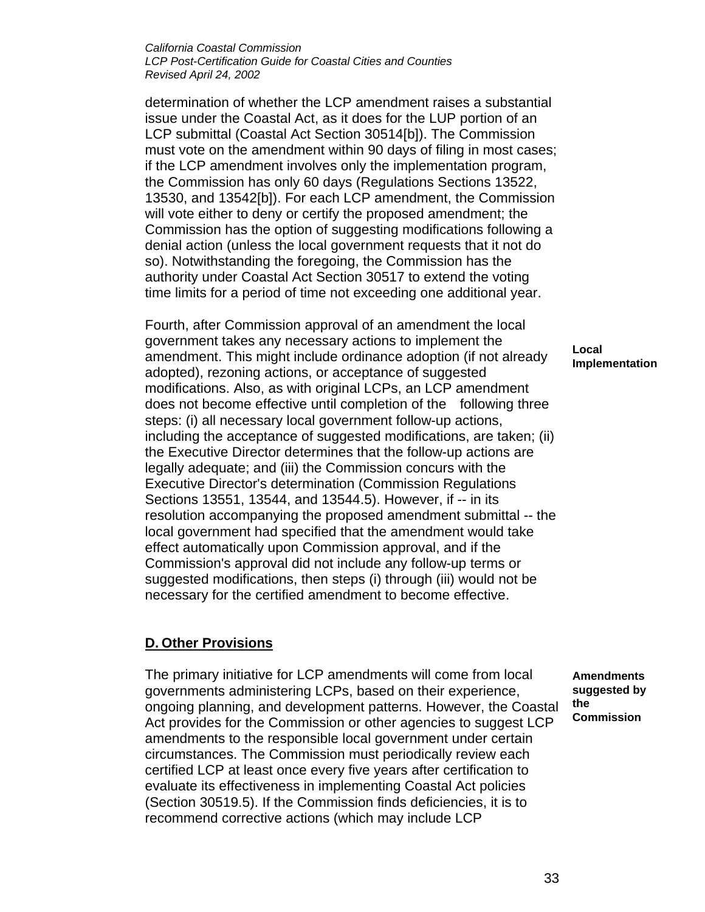determination of whether the LCP amendment raises a substantial issue under the Coastal Act, as it does for the LUP portion of an LCP submittal (Coastal Act Section 30514[b]). The Commission must vote on the amendment within 90 days of filing in most cases; if the LCP amendment involves only the implementation program, the Commission has only 60 days (Regulations Sections 13522, 13530, and 13542[b]). For each LCP amendment, the Commission will vote either to deny or certify the proposed amendment; the Commission has the option of suggesting modifications following a denial action (unless the local government requests that it not do so). Notwithstanding the foregoing, the Commission has the authority under Coastal Act Section 30517 to extend the voting time limits for a period of time not exceeding one additional year.

Fourth, after Commission approval of an amendment the local government takes any necessary actions to implement the amendment. This might include ordinance adoption (if not already adopted), rezoning actions, or acceptance of suggested modifications. Also, as with original LCPs, an LCP amendment does not become effective until completion of the following three steps: (i) all necessary local government follow-up actions, including the acceptance of suggested modifications, are taken; (ii) the Executive Director determines that the follow-up actions are legally adequate; and (iii) the Commission concurs with the Executive Director's determination (Commission Regulations Sections 13551, 13544, and 13544.5). However, if -- in its resolution accompanying the proposed amendment submittal -- the local government had specified that the amendment would take effect automatically upon Commission approval, and if the Commission's approval did not include any follow-up terms or suggested modifications, then steps (i) through (iii) would not be necessary for the certified amendment to become effective.

### **D. Other Provisions**

The primary initiative for LCP amendments will come from local governments administering LCPs, based on their experience, ongoing planning, and development patterns. However, the Coastal Act provides for the Commission or other agencies to suggest LCP amendments to the responsible local government under certain circumstances. The Commission must periodically review each certified LCP at least once every five years after certification to evaluate its effectiveness in implementing Coastal Act policies (Section 30519.5). If the Commission finds deficiencies, it is to recommend corrective actions (which may include LCP

**Local Implementation**

**Amendments suggested by the Commission**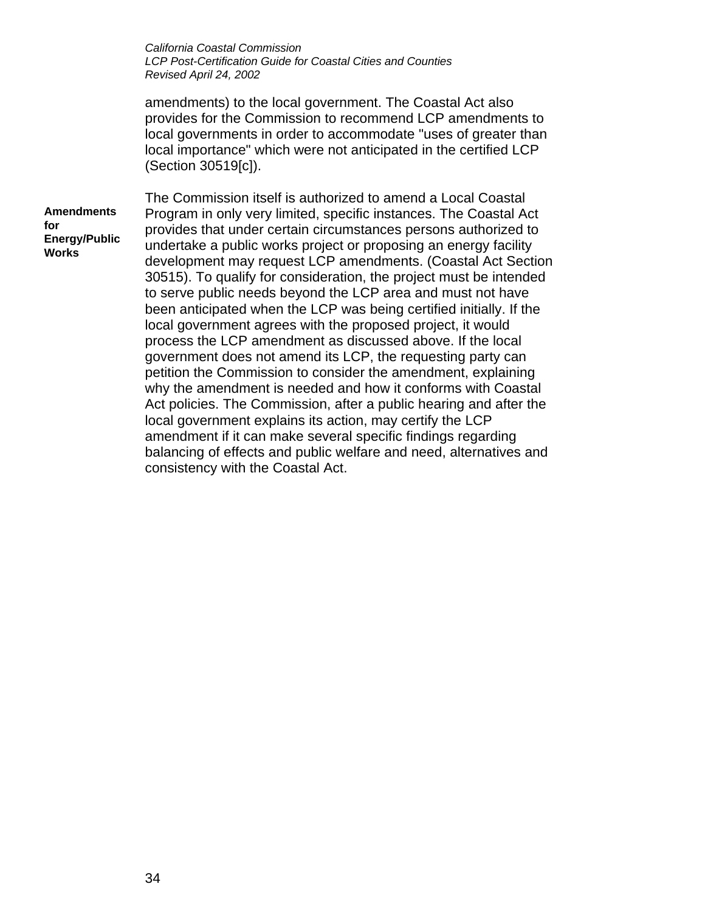amendments) to the local government. The Coastal Act also provides for the Commission to recommend LCP amendments to local governments in order to accommodate "uses of greater than local importance" which were not anticipated in the certified LCP (Section 30519[c]).

**Amendments for Energy/Public Works**

The Commission itself is authorized to amend a Local Coastal Program in only very limited, specific instances. The Coastal Act provides that under certain circumstances persons authorized to undertake a public works project or proposing an energy facility development may request LCP amendments. (Coastal Act Section 30515). To qualify for consideration, the project must be intended to serve public needs beyond the LCP area and must not have been anticipated when the LCP was being certified initially. If the local government agrees with the proposed project, it would process the LCP amendment as discussed above. If the local government does not amend its LCP, the requesting party can petition the Commission to consider the amendment, explaining why the amendment is needed and how it conforms with Coastal Act policies. The Commission, after a public hearing and after the local government explains its action, may certify the LCP amendment if it can make several specific findings regarding balancing of effects and public welfare and need, alternatives and consistency with the Coastal Act.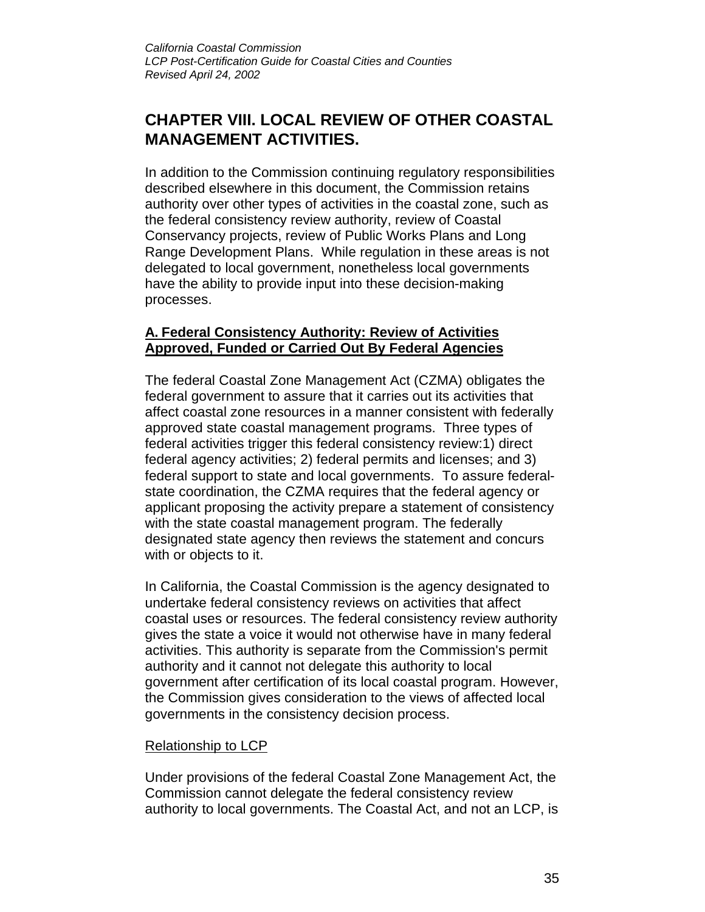## **CHAPTER VIII. LOCAL REVIEW OF OTHER COASTAL MANAGEMENT ACTIVITIES.**

In addition to the Commission continuing regulatory responsibilities described elsewhere in this document, the Commission retains authority over other types of activities in the coastal zone, such as the federal consistency review authority, review of Coastal Conservancy projects, review of Public Works Plans and Long Range Development Plans. While regulation in these areas is not delegated to local government, nonetheless local governments have the ability to provide input into these decision-making processes.

### **A. Federal Consistency Authority: Review of Activities Approved, Funded or Carried Out By Federal Agencies**

The federal Coastal Zone Management Act (CZMA) obligates the federal government to assure that it carries out its activities that affect coastal zone resources in a manner consistent with federally approved state coastal management programs. Three types of federal activities trigger this federal consistency review:1) direct federal agency activities; 2) federal permits and licenses; and 3) federal support to state and local governments. To assure federalstate coordination, the CZMA requires that the federal agency or applicant proposing the activity prepare a statement of consistency with the state coastal management program. The federally designated state agency then reviews the statement and concurs with or objects to it.

In California, the Coastal Commission is the agency designated to undertake federal consistency reviews on activities that affect coastal uses or resources. The federal consistency review authority gives the state a voice it would not otherwise have in many federal activities. This authority is separate from the Commission's permit authority and it cannot not delegate this authority to local government after certification of its local coastal program. However, the Commission gives consideration to the views of affected local governments in the consistency decision process.

### Relationship to LCP

Under provisions of the federal Coastal Zone Management Act, the Commission cannot delegate the federal consistency review authority to local governments. The Coastal Act, and not an LCP, is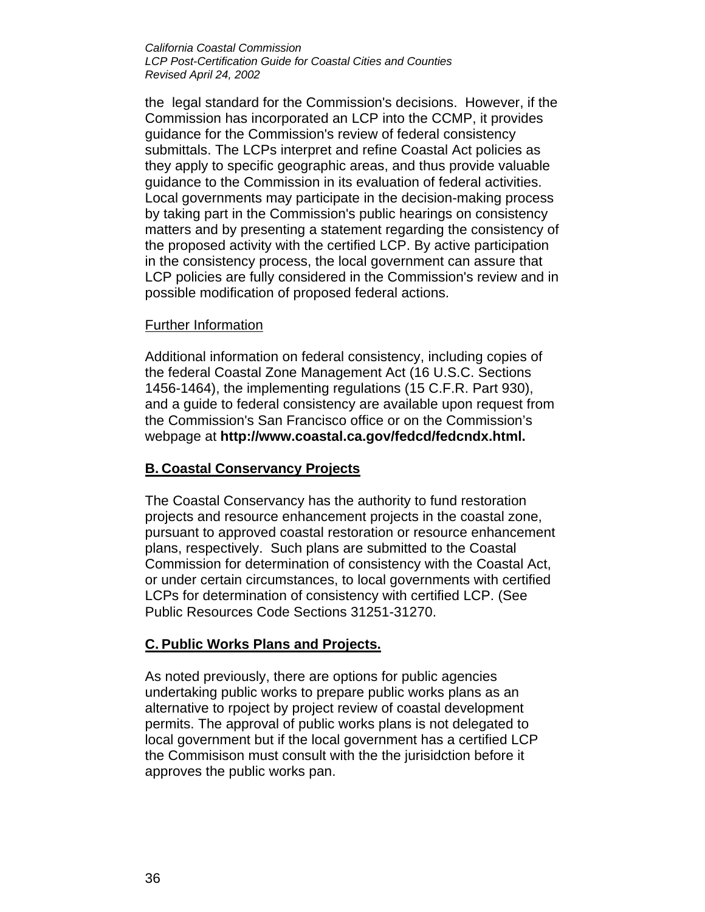the legal standard for the Commission's decisions. However, if the Commission has incorporated an LCP into the CCMP, it provides guidance for the Commission's review of federal consistency submittals. The LCPs interpret and refine Coastal Act policies as they apply to specific geographic areas, and thus provide valuable guidance to the Commission in its evaluation of federal activities. Local governments may participate in the decision-making process by taking part in the Commission's public hearings on consistency matters and by presenting a statement regarding the consistency of the proposed activity with the certified LCP. By active participation in the consistency process, the local government can assure that LCP policies are fully considered in the Commission's review and in possible modification of proposed federal actions.

#### Further Information

Additional information on federal consistency, including copies of the federal Coastal Zone Management Act (16 U.S.C. Sections 1456-1464), the implementing regulations (15 C.F.R. Part 930), and a guide to federal consistency are available upon request from the Commission's San Francisco office or on the Commission's webpage at **[http://www.coastal.ca.gov/fedcd/fedcndx.html.](http://www.coastal.ca.gov/fedcd/fedcndx.html)**

### **B. Coastal Conservancy Projects**

The Coastal Conservancy has the authority to fund restoration projects and resource enhancement projects in the coastal zone, pursuant to approved coastal restoration or resource enhancement plans, respectively. Such plans are submitted to the Coastal Commission for determination of consistency with the Coastal Act, or under certain circumstances, to local governments with certified LCPs for determination of consistency with certified LCP. (See Public Resources Code Sections 31251-31270.

### **C. Public Works Plans and Projects.**

As noted previously, there are options for public agencies undertaking public works to prepare public works plans as an alternative to rpoject by project review of coastal development permits. The approval of public works plans is not delegated to local government but if the local government has a certified LCP the Commisison must consult with the the jurisidction before it approves the public works pan.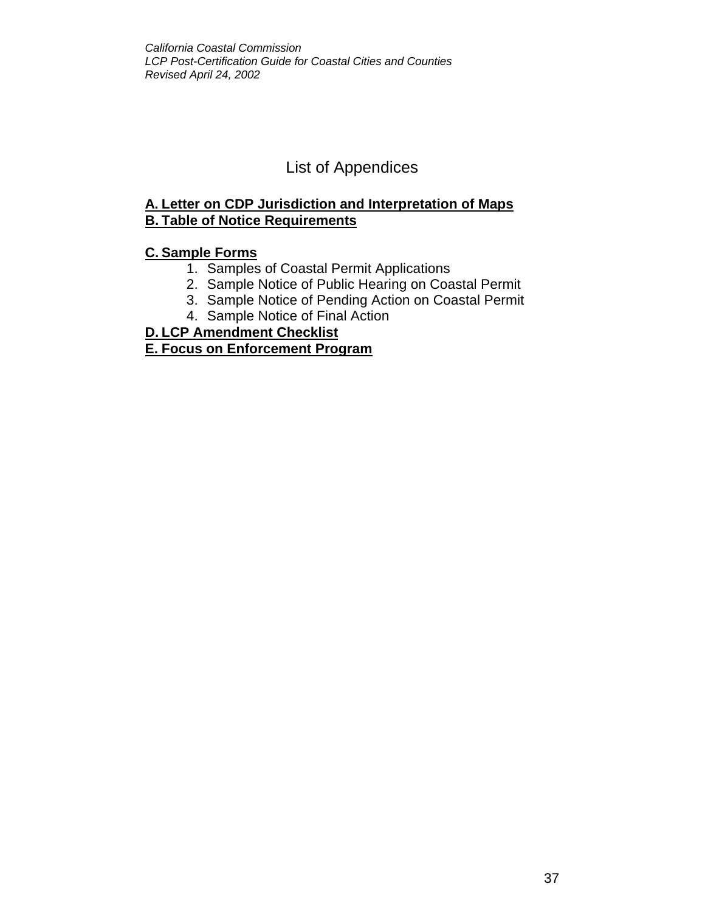## List of Appendices

## **A. Letter on CDP Jurisdiction and Interpretation of Maps B. Table of Notice Requirements**

## **C. Sample Forms**

- 1. Samples of Coastal Permit Applications
- 2. Sample Notice of Public Hearing on Coastal Permit
- 3. Sample Notice of Pending Action on Coastal Permit
- 4. Sample Notice of Final Action

## **D. LCP Amendment Checklist**

### **E. Focus on Enforcement Program**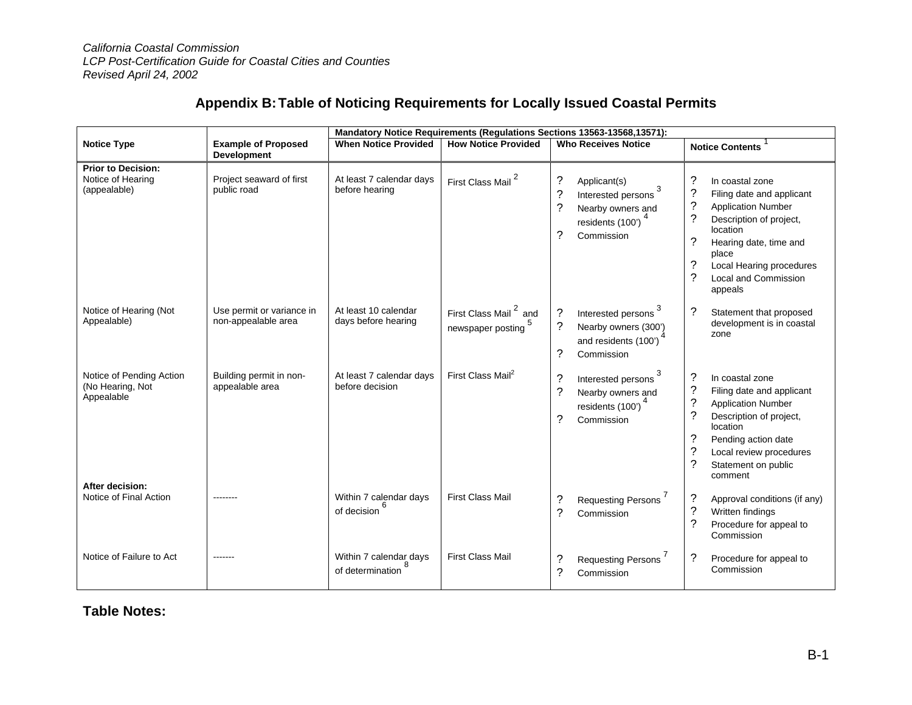## **Appendix B:Table of Noticing Requirements for Locally Issued Coastal Permits**

|                                                                |                                                  | <b>Mandatory Notice Requirements (Regulations Sections 13563-13568, 13571):</b> |                                                        |                                                                                                                                |                                                                                                                                                                                                                                                                                                                   |
|----------------------------------------------------------------|--------------------------------------------------|---------------------------------------------------------------------------------|--------------------------------------------------------|--------------------------------------------------------------------------------------------------------------------------------|-------------------------------------------------------------------------------------------------------------------------------------------------------------------------------------------------------------------------------------------------------------------------------------------------------------------|
| <b>Notice Type</b>                                             | <b>Example of Proposed</b><br>Development        | <b>When Notice Provided</b>                                                     | <b>How Notice Provided</b>                             | <b>Who Receives Notice</b>                                                                                                     | <b>Notice Contents</b>                                                                                                                                                                                                                                                                                            |
| <b>Prior to Decision:</b><br>Notice of Hearing<br>(appealable) | Project seaward of first<br>public road          | At least 7 calendar days<br>before hearing                                      | First Class Mail                                       | ?<br>Applicant(s)<br>Interested persons<br>?<br>Nearby owners and<br>residents (100') <sup>4</sup><br>?<br>Commission          | ?<br>In coastal zone<br>$\overline{\cdot}$<br>Filing date and applicant<br>$\tilde{?}$<br><b>Application Number</b><br>$\tilde{?}$<br>Description of project,<br>location<br>?<br>Hearing date, time and<br>place<br>?<br>Local Hearing procedures<br>$\overline{\mathcal{C}}$<br>Local and Commission<br>appeals |
| Notice of Hearing (Not<br>Appealable)                          | Use permit or variance in<br>non-appealable area | At least 10 calendar<br>days before hearing                                     | First Class Mail <sup>2</sup> and<br>newspaper posting | Interested persons 3<br>?<br>?<br>Nearby owners (300')<br>and residents (100')<br>?<br>Commission                              | $\tilde{?}$<br>Statement that proposed<br>development is in coastal<br>zone                                                                                                                                                                                                                                       |
| Notice of Pending Action<br>(No Hearing, Not<br>Appealable     | Building permit in non-<br>appealable area       | At least 7 calendar days<br>before decision                                     | First Class Mail <sup>2</sup>                          | Interested persons 3<br>?<br>$\overline{\mathcal{L}}$<br>Nearby owners and<br>residents (100') <sup>4</sup><br>?<br>Commission | $\tilde{?}$<br>In coastal zone<br>$\tilde{?}$<br>Filing date and applicant<br>$\overline{\cdot}$<br><b>Application Number</b><br>?<br>Description of project,<br>location<br>?<br>Pending action date<br>?<br>Local review procedures<br>$\overline{\mathcal{C}}$<br>Statement on public<br>comment               |
| After decision:<br>Notice of Final Action                      |                                                  | Within 7 calendar days<br>of decision                                           | <b>First Class Mail</b>                                | ?<br><b>Requesting Persons</b><br>?<br>Commission                                                                              | ?<br>Approval conditions (if any)<br>?<br>Written findings<br>$\gamma$<br>Procedure for appeal to<br>Commission                                                                                                                                                                                                   |
| Notice of Failure to Act                                       |                                                  | Within 7 calendar days<br>of determination                                      | <b>First Class Mail</b>                                | ?<br><b>Requesting Persons</b><br>?<br>Commission                                                                              | ?<br>Procedure for appeal to<br>Commission                                                                                                                                                                                                                                                                        |

**Table Notes:**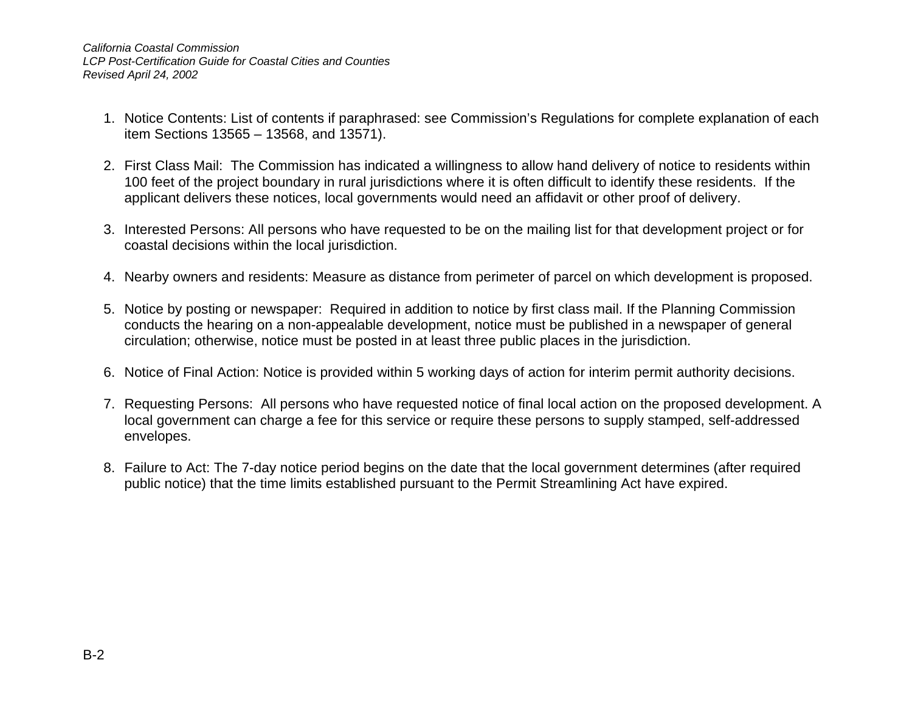- 1. Notice Contents: List of contents if paraphrased: see Commission's Regulations for complete explanation of each item Sections 13565 – 13568, and 13571).
- 2. First Class Mail: The Commission has indicated a willingness to allow hand delivery of notice to residents within 100 feet of the project boundary in rural jurisdictions where it is often difficult to identify these residents. If the applicant delivers these notices, local governments would need an affidavit or other proof of delivery.
- 3. Interested Persons: All persons who have requested to be on the mailing list for that development project or for coastal decisions within the local jurisdiction.
- 4. Nearby owners and residents: Measure as distance from perimeter of parcel on which development is proposed.
- 5. Notice by posting or newspaper: Required in addition to notice by first class mail. If the Planning Commission conducts the hearing on a non-appealable development, notice must be published in a newspaper of general circulation; otherwise, notice must be posted in at least three public places in the jurisdiction.
- 6. Notice of Final Action: Notice is provided within 5 working days of action for interim permit authority decisions.
- 7. Requesting Persons: All persons who have requested notice of final local action on the proposed development. A local government can charge a fee for this service or require these persons to supply stamped, self-addressed envelopes.
- 8. Failure to Act: The 7-day notice period begins on the date that the local government determines (after required public notice) that the time limits established pursuant to the Permit Streamlining Act have expired.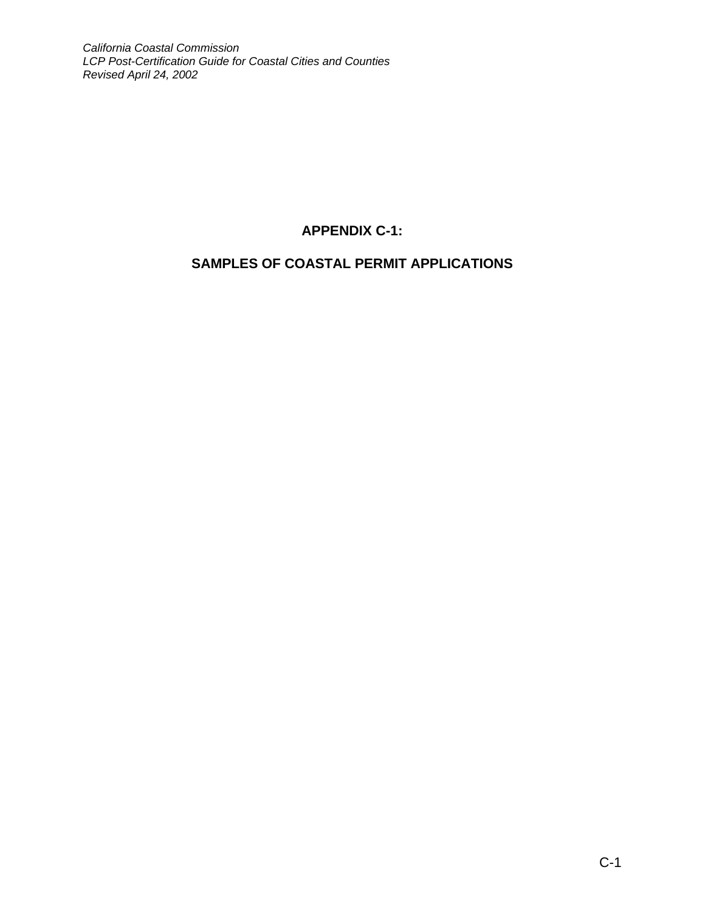## **APPENDIX C-1:**

## **SAMPLES OF COASTAL PERMIT APPLICATIONS**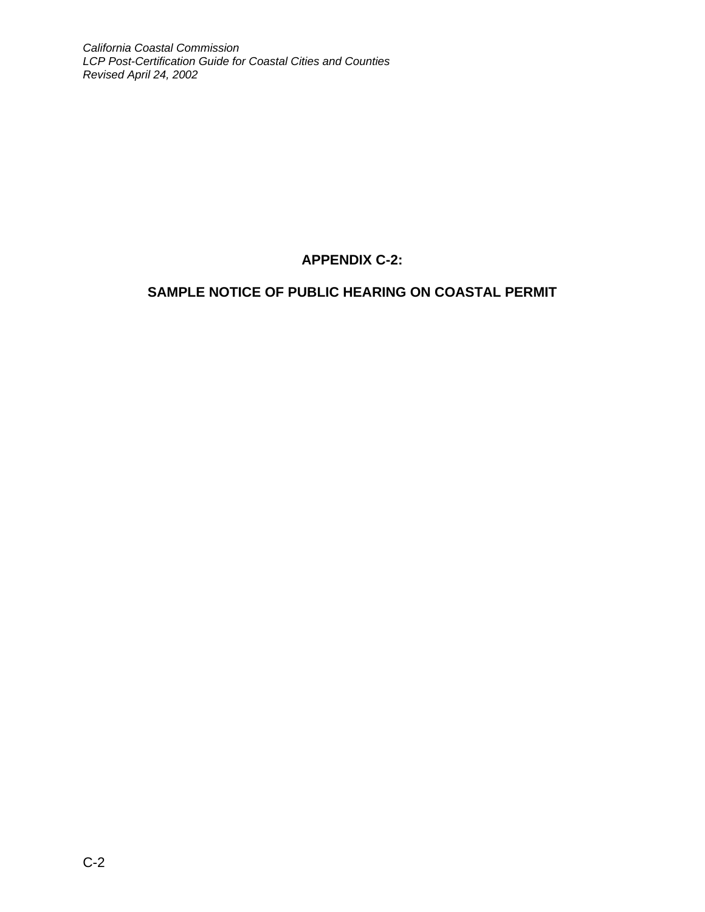## **APPENDIX C-2:**

## **SAMPLE NOTICE OF PUBLIC HEARING ON COASTAL PERMIT**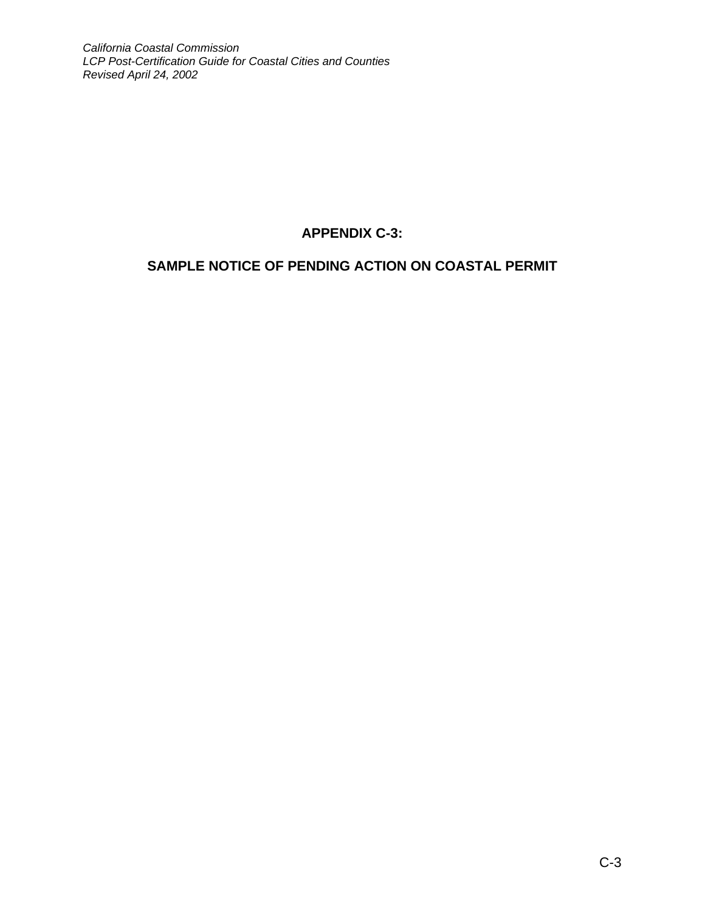## **APPENDIX C-3:**

## **SAMPLE NOTICE OF PENDING ACTION ON COASTAL PERMIT**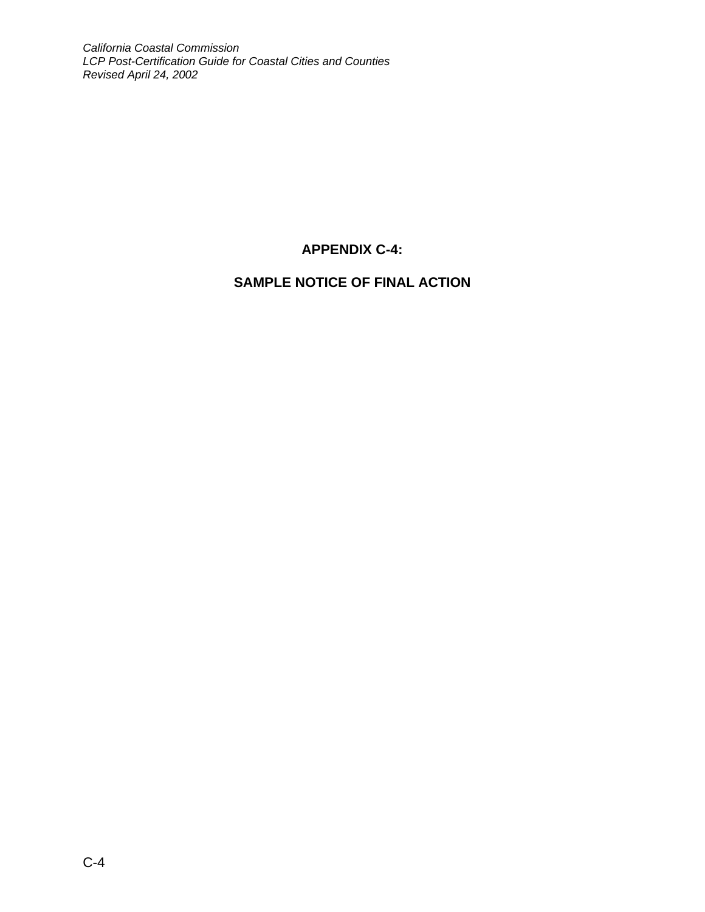## **APPENDIX C-4:**

## **SAMPLE NOTICE OF FINAL ACTION**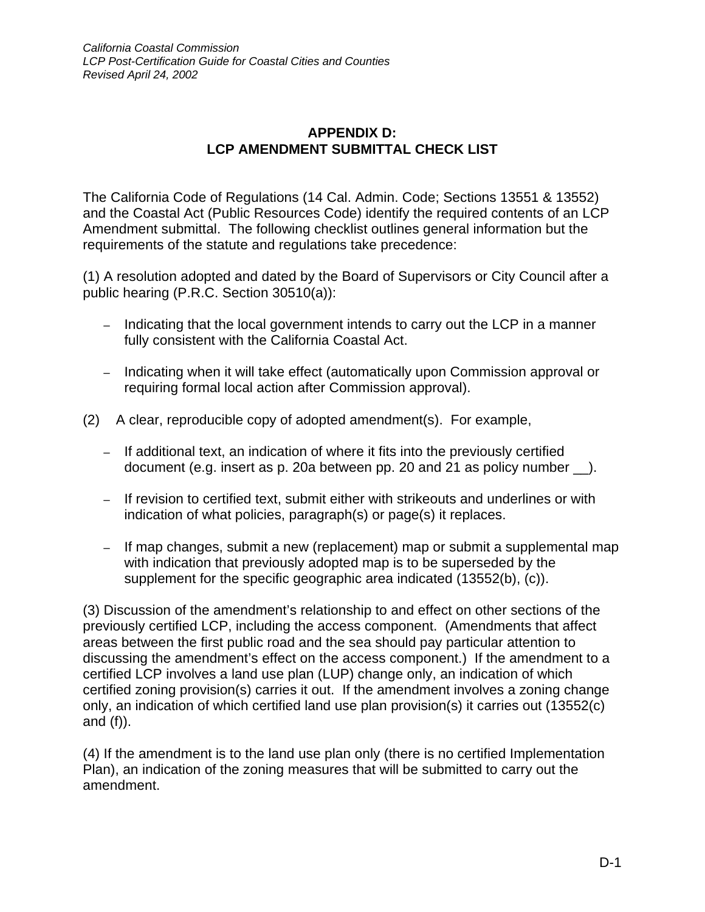## **APPENDIX D: LCP AMENDMENT SUBMITTAL CHECK LIST**

The California Code of Regulations (14 Cal. Admin. Code; Sections 13551 & 13552) and the Coastal Act (Public Resources Code) identify the required contents of an LCP Amendment submittal. The following checklist outlines general information but the requirements of the statute and regulations take precedence:

(1) A resolution adopted and dated by the Board of Supervisors or City Council after a public hearing (P.R.C. Section 30510(a)):

- Indicating that the local government intends to carry out the LCP in a manner fully consistent with the California Coastal Act.
- Indicating when it will take effect (automatically upon Commission approval or requiring formal local action after Commission approval).
- (2) A clear, reproducible copy of adopted amendment(s). For example,
	- If additional text, an indication of where it fits into the previously certified document (e.g. insert as p. 20a between pp. 20 and 21 as policy number \_\_).
	- If revision to certified text, submit either with strikeouts and underlines or with indication of what policies, paragraph(s) or page(s) it replaces.
	- If map changes, submit a new (replacement) map or submit a supplemental map with indication that previously adopted map is to be superseded by the supplement for the specific geographic area indicated (13552(b), (c)).

(3) Discussion of the amendment's relationship to and effect on other sections of the previously certified LCP, including the access component. (Amendments that affect areas between the first public road and the sea should pay particular attention to discussing the amendment's effect on the access component.) If the amendment to a certified LCP involves a land use plan (LUP) change only, an indication of which certified zoning provision(s) carries it out. If the amendment involves a zoning change only, an indication of which certified land use plan provision(s) it carries out (13552(c) and  $(f)$ ).

(4) If the amendment is to the land use plan only (there is no certified Implementation Plan), an indication of the zoning measures that will be submitted to carry out the amendment.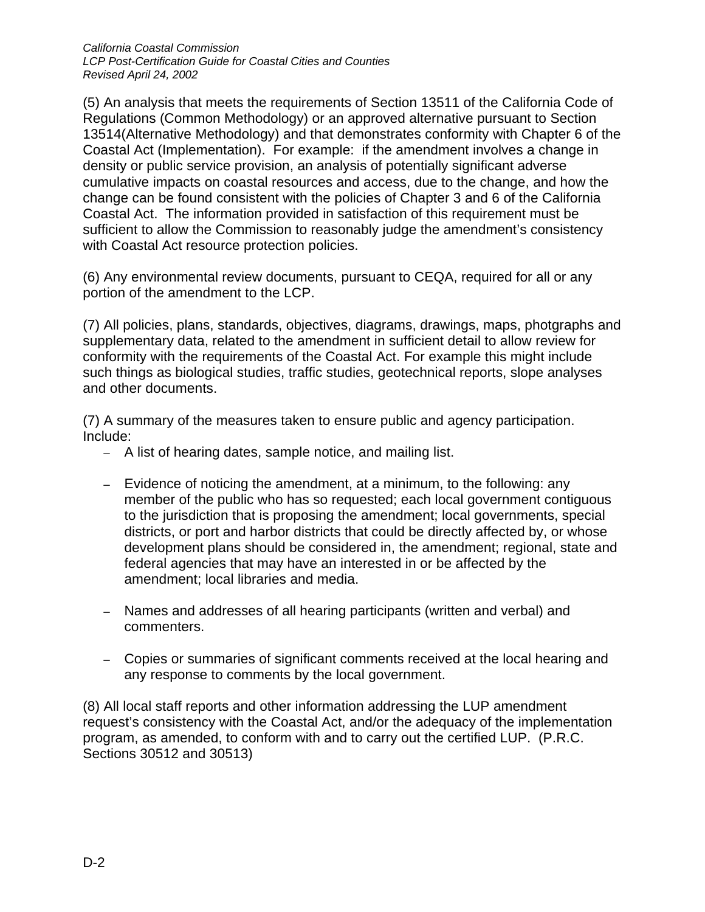(5) An analysis that meets the requirements of Section 13511 of the California Code of Regulations (Common Methodology) or an approved alternative pursuant to Section 13514(Alternative Methodology) and that demonstrates conformity with Chapter 6 of the Coastal Act (Implementation). For example: if the amendment involves a change in density or public service provision, an analysis of potentially significant adverse cumulative impacts on coastal resources and access, due to the change, and how the change can be found consistent with the policies of Chapter 3 and 6 of the California Coastal Act. The information provided in satisfaction of this requirement must be sufficient to allow the Commission to reasonably judge the amendment's consistency with Coastal Act resource protection policies.

(6) Any environmental review documents, pursuant to CEQA, required for all or any portion of the amendment to the LCP.

(7) All policies, plans, standards, objectives, diagrams, drawings, maps, photgraphs and supplementary data, related to the amendment in sufficient detail to allow review for conformity with the requirements of the Coastal Act. For example this might include such things as biological studies, traffic studies, geotechnical reports, slope analyses and other documents.

(7) A summary of the measures taken to ensure public and agency participation. Include:

- A list of hearing dates, sample notice, and mailing list.
- Evidence of noticing the amendment, at a minimum, to the following: any member of the public who has so requested; each local government contiguous to the jurisdiction that is proposing the amendment; local governments, special districts, or port and harbor districts that could be directly affected by, or whose development plans should be considered in, the amendment; regional, state and federal agencies that may have an interested in or be affected by the amendment; local libraries and media.
- Names and addresses of all hearing participants (written and verbal) and commenters.
- Copies or summaries of significant comments received at the local hearing and any response to comments by the local government.

(8) All local staff reports and other information addressing the LUP amendment request's consistency with the Coastal Act, and/or the adequacy of the implementation program, as amended, to conform with and to carry out the certified LUP. (P.R.C. Sections 30512 and 30513)